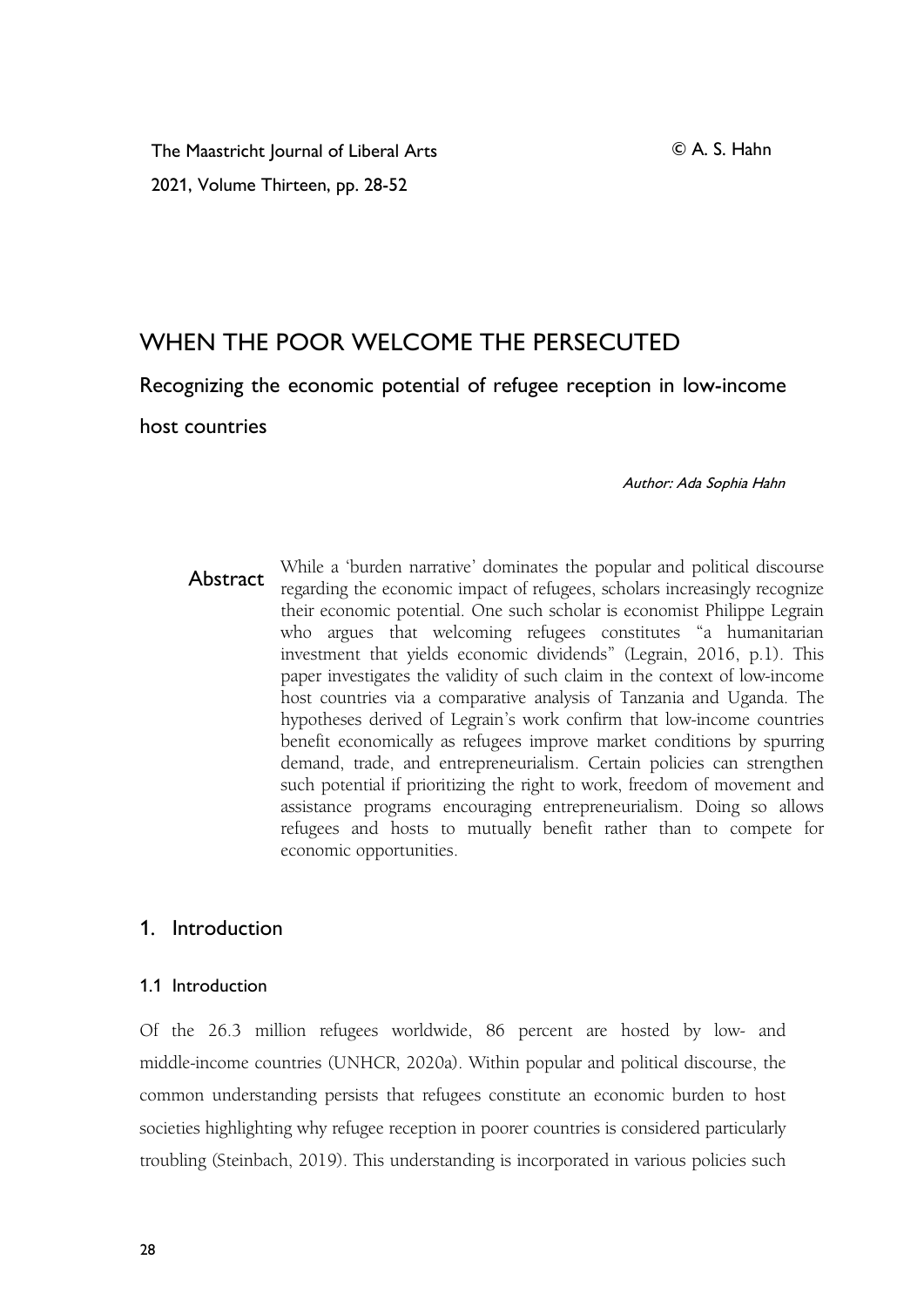The Maastricht Journal of Liberal Arts 2021, Volume Thirteen, pp. 28-52

# WHEN THE POOR WELCOME THE PERSECUTED

Recognizing the economic potential of refugee reception in low-income

host countries

Author: Ada Sophia Hahn

Abstract While a 'burden narrative' dominates the popular and political discourse regarding the economic impact of refugees, scholars increasingly recognize their economic potential. One such scholar is economist Philippe Legrain who argues that welcoming refugees constitutes "a humanitarian investment that yields economic dividends" (Legrain, 2016, p.1). This paper investigates the validity of such claim in the context of low-income host countries via a comparative analysis of Tanzania and Uganda. The hypotheses derived of Legrain's work confirm that low-income countries benefit economically as refugees improve market conditions by spurring demand, trade, and entrepreneurialism. Certain policies can strengthen such potential if prioritizing the right to work, freedom of movement and assistance programs encouraging entrepreneurialism. Doing so allows refugees and hosts to mutually benefit rather than to compete for economic opportunities.

### 1. Introduction

#### 1.1 Introduction

Of the 26.3 million refugees worldwide, 86 percent are hosted by low- and middle-income countries (UNHCR, 2020a). Within popular and political discourse, the common understanding persists that refugees constitute an economic burden to host societies highlighting why refugee reception in poorer countries is considered particularly troubling (Steinbach, 2019). This understanding is incorporated in various policies such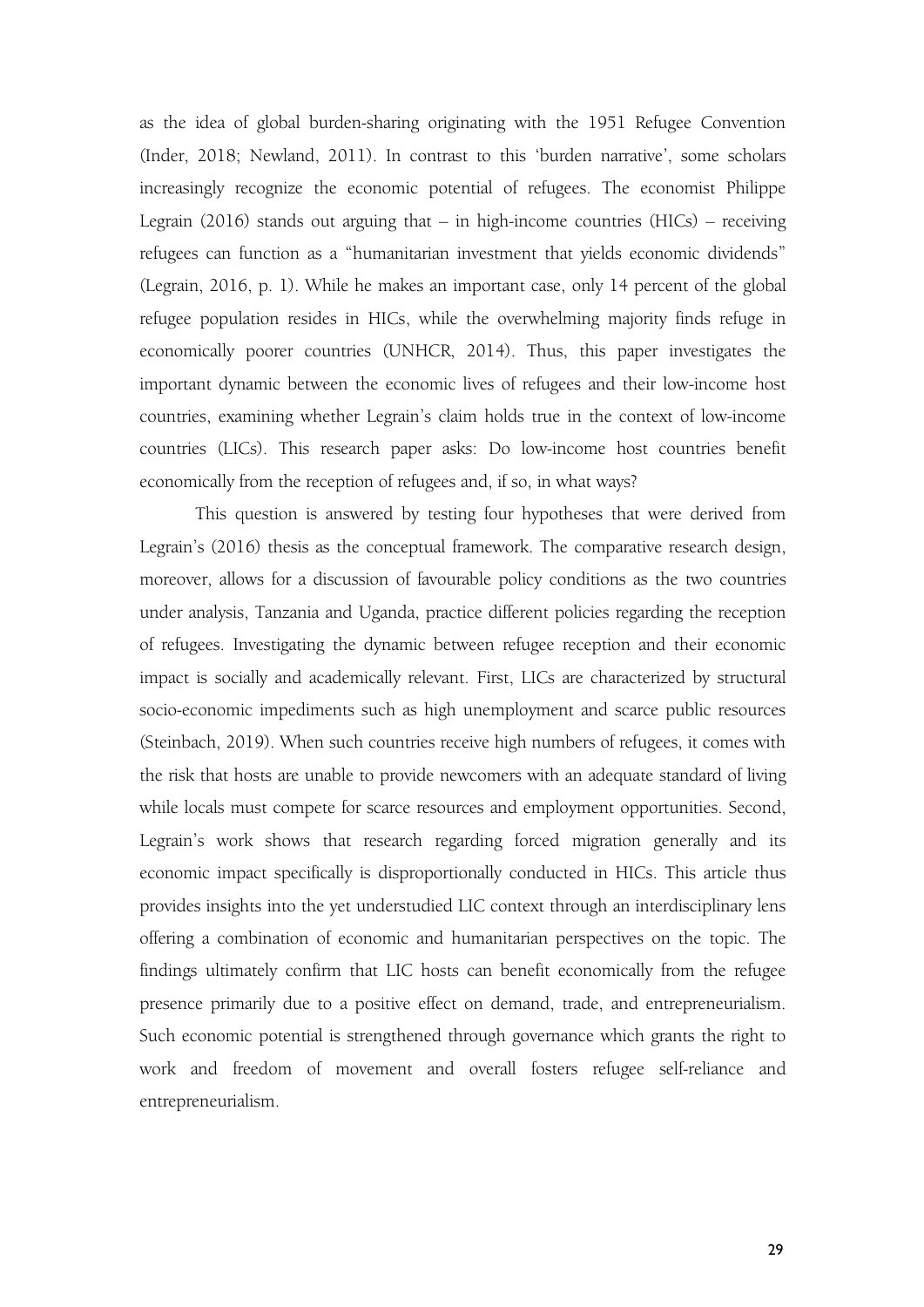as the idea of global burden-sharing originating with the 1951 Refugee Convention (Inder, 2018; Newland, 2011). In contrast to this 'burden narrative', some scholars increasingly recognize the economic potential of refugees. The economist Philippe Legrain (2016) stands out arguing that – in high-income countries (HICs) – receiving refugees can function as a "humanitarian investment that yields economic dividends" (Legrain, 2016, p. 1). While he makes an important case, only 14 percent of the global refugee population resides in HICs, while the overwhelming majority finds refuge in economically poorer countries (UNHCR, 2014). Thus, this paper investigates the important dynamic between the economic lives of refugees and their low-income host countries, examining whether Legrain's claim holds true in the context of low-income countries (LICs). This research paper asks: Do low-income host countries benefit economically from the reception of refugees and, if so, in what ways?

This question is answered by testing four hypotheses that were derived from Legrain's (2016) thesis as the conceptual framework. The comparative research design, moreover, allows for a discussion of favourable policy conditions as the two countries under analysis, Tanzania and Uganda, practice different policies regarding the reception of refugees. Investigating the dynamic between refugee reception and their economic impact is socially and academically relevant. First, LICs are characterized by structural socio-economic impediments such as high unemployment and scarce public resources (Steinbach, 2019). When such countries receive high numbers of refugees, it comes with the risk that hosts are unable to provide newcomers with an adequate standard of living while locals must compete for scarce resources and employment opportunities. Second, Legrain's work shows that research regarding forced migration generally and its economic impact specifically is disproportionally conducted in HICs. This article thus provides insights into the yet understudied LIC context through an interdisciplinary lens offering a combination of economic and humanitarian perspectives on the topic. The findings ultimately confirm that LIC hosts can benefit economically from the refugee presence primarily due to a positive effect on demand, trade, and entrepreneurialism. Such economic potential is strengthened through governance which grants the right to work and freedom of movement and overall fosters refugee self-reliance and entrepreneurialism.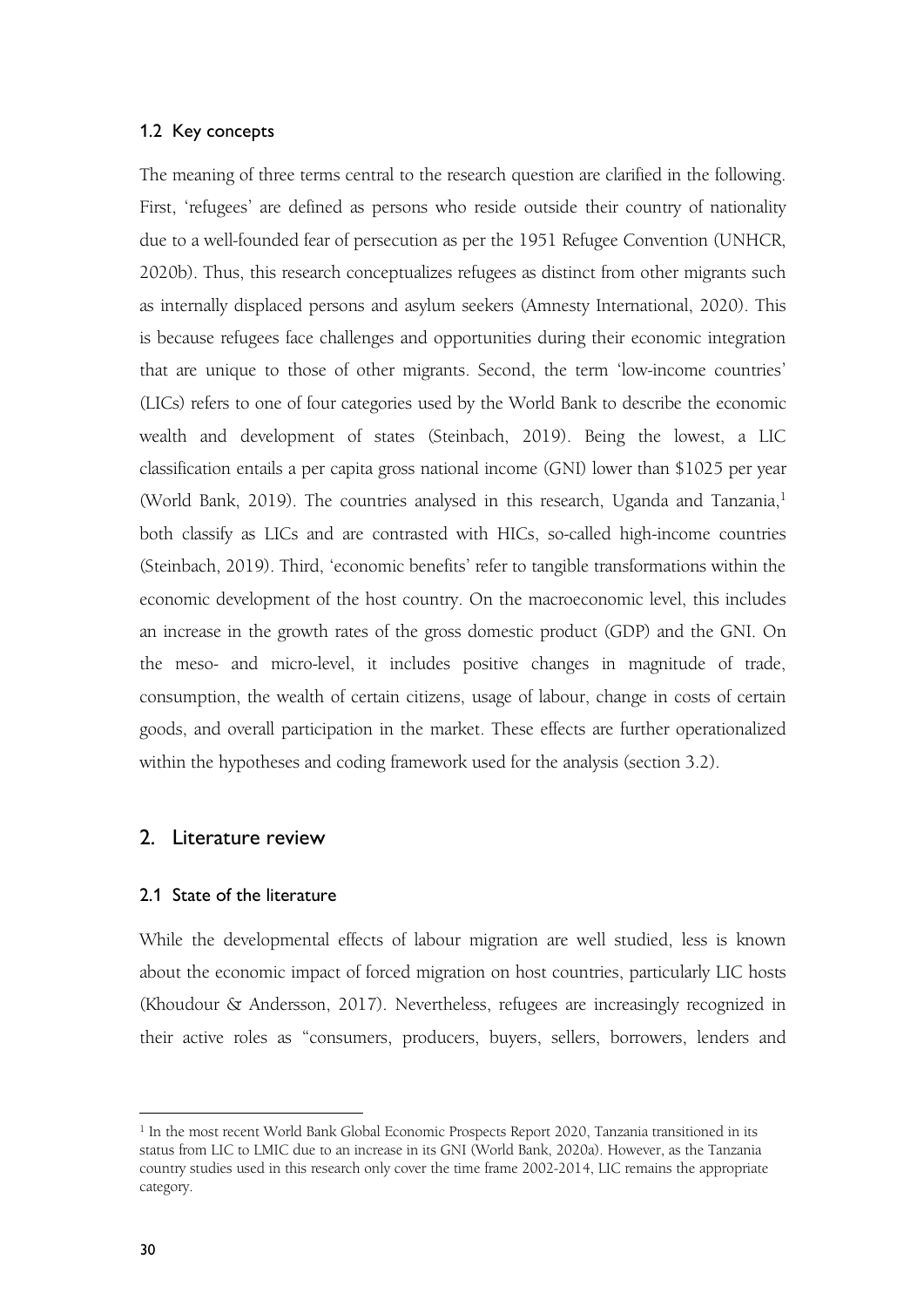### 1.2 Key concepts

The meaning of three terms central to the research question are clarified in the following. First, 'refugees' are defined as persons who reside outside their country of nationality due to a well-founded fear of persecution as per the 1951 Refugee Convention (UNHCR, 2020b). Thus, this research conceptualizes refugees as distinct from other migrants such as internally displaced persons and asylum seekers (Amnesty International, 2020). This is because refugees face challenges and opportunities during their economic integration that are unique to those of other migrants. Second, the term 'low-income countries' (LICs) refers to one of four categories used by the World Bank to describe the economic wealth and development of states (Steinbach, 2019). Being the lowest, a LIC classification entails a per capita gross national income (GNI) lower than \$1025 per year (World Bank, 20[1](#page-2-0)9). The countries analysed in this research, Uganda and Tanzania,<sup>1</sup> both classify as LICs and are contrasted with HICs, so-called high-income countries (Steinbach, 2019). Third, 'economic benefits' refer to tangible transformations within the economic development of the host country. On the macroeconomic level, this includes an increase in the growth rates of the gross domestic product (GDP) and the GNI. On the meso- and micro-level, it includes positive changes in magnitude of trade, consumption, the wealth of certain citizens, usage of labour, change in costs of certain goods, and overall participation in the market. These effects are further operationalized within the hypotheses and coding framework used for the analysis (section 3.2).

### 2. Literature review

### 2.1 State of the literature

While the developmental effects of labour migration are well studied, less is known about the economic impact of forced migration on host countries, particularly LIC hosts (Khoudour & Andersson, 2017). Nevertheless, refugees are increasingly recognized in their active roles as "consumers, producers, buyers, sellers, borrowers, lenders and

<span id="page-2-0"></span><sup>&</sup>lt;sup>1</sup> In the most recent World Bank Global Economic Prospects Report 2020, Tanzania transitioned in its status from LIC to LMIC due to an increase in its GNI (World Bank, 2020a). However, as the Tanzania country studies used in this research only cover the time frame 2002-2014, LIC remains the appropriate category.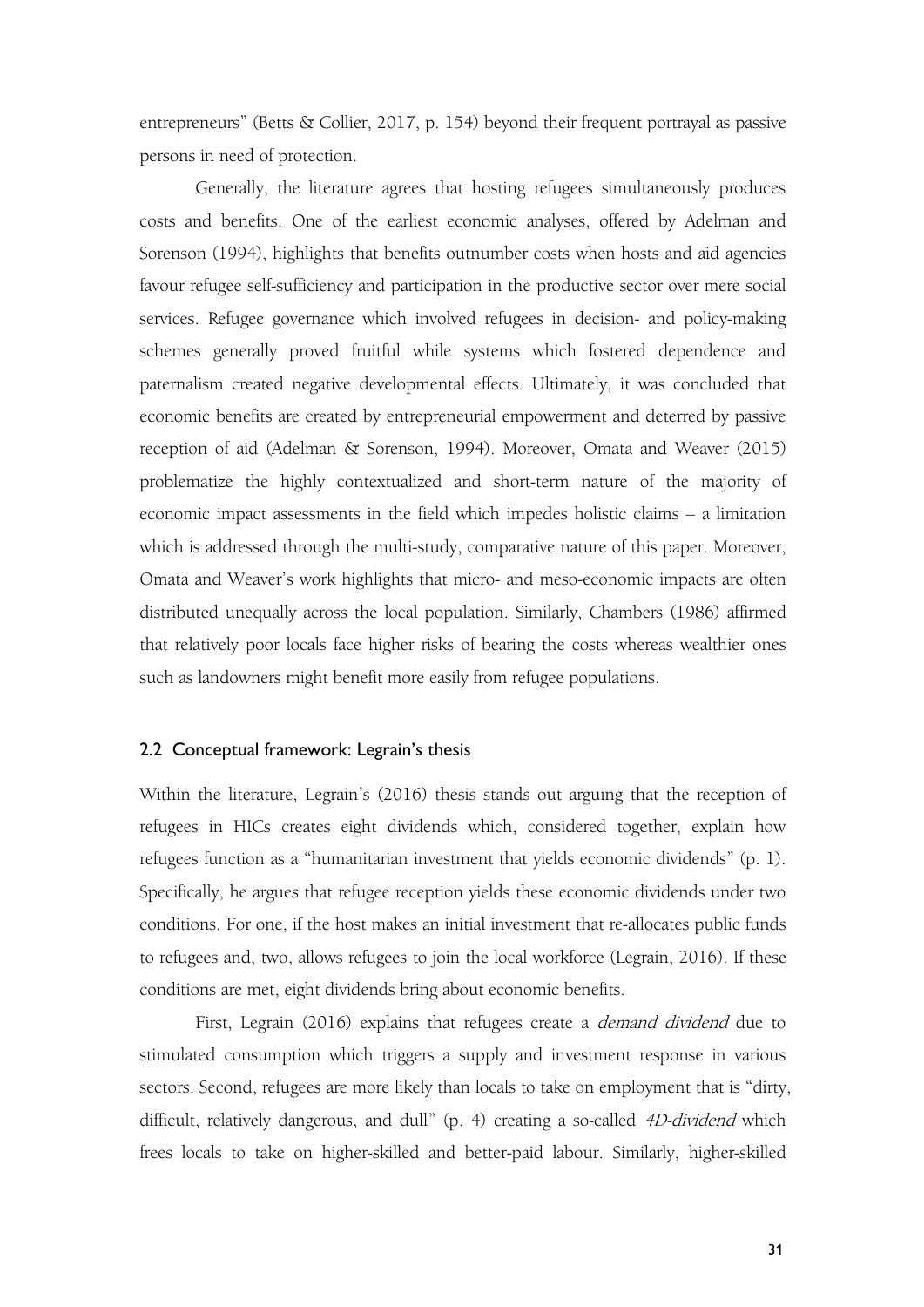entrepreneurs" (Betts & Collier, 2017, p. 154) beyond their frequent portrayal as passive persons in need of protection.

Generally, the literature agrees that hosting refugees simultaneously produces costs and benefits. One of the earliest economic analyses, offered by Adelman and Sorenson (1994), highlights that benefits outnumber costs when hosts and aid agencies favour refugee self-sufficiency and participation in the productive sector over mere social services. Refugee governance which involved refugees in decision- and policy-making schemes generally proved fruitful while systems which fostered dependence and paternalism created negative developmental effects. Ultimately, it was concluded that economic benefits are created by entrepreneurial empowerment and deterred by passive reception of aid (Adelman & Sorenson, 1994). Moreover, Omata and Weaver (2015) problematize the highly contextualized and short-term nature of the majority of economic impact assessments in the field which impedes holistic claims – a limitation which is addressed through the multi-study, comparative nature of this paper. Moreover, Omata and Weaver's work highlights that micro- and meso-economic impacts are often distributed unequally across the local population. Similarly, Chambers (1986) affirmed that relatively poor locals face higher risks of bearing the costs whereas wealthier ones such as landowners might benefit more easily from refugee populations.

#### 2.2 Conceptual framework: Legrain's thesis

Within the literature, Legrain's (2016) thesis stands out arguing that the reception of refugees in HICs creates eight dividends which, considered together, explain how refugees function as a "humanitarian investment that yields economic dividends" (p. 1). Specifically, he argues that refugee reception yields these economic dividends under two conditions. For one, if the host makes an initial investment that re-allocates public funds to refugees and, two, allows refugees to join the local workforce (Legrain, 2016). If these conditions are met, eight dividends bring about economic benefits.

First, Legrain (2016) explains that refugees create a *demand dividend* due to stimulated consumption which triggers a supply and investment response in various sectors. Second, refugees are more likely than locals to take on employment that is "dirty, difficult, relatively dangerous, and dull" (p. 4) creating a so-called 4D-dividend which frees locals to take on higher-skilled and better-paid labour. Similarly, higher-skilled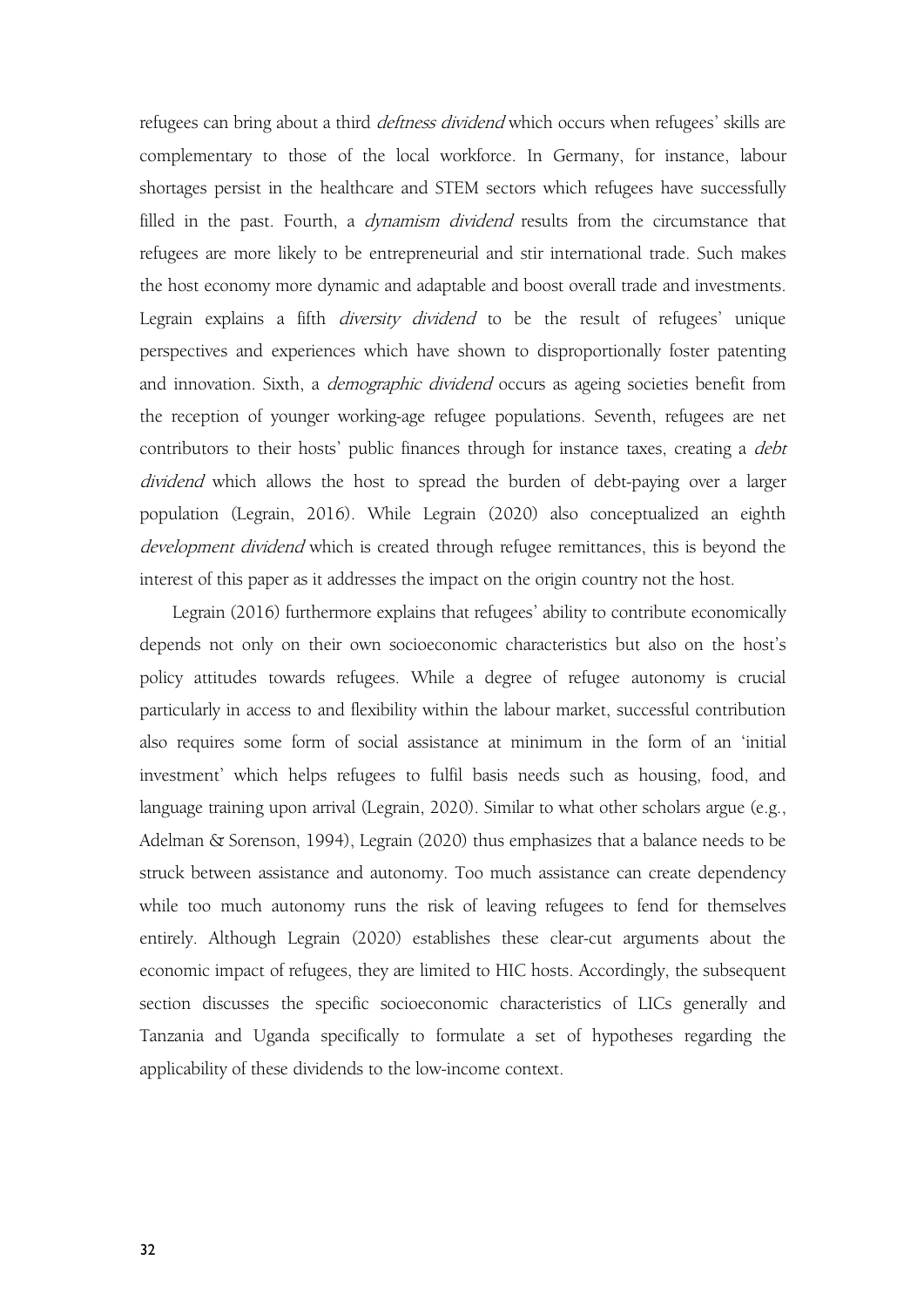refugees can bring about a third *deftness dividend* which occurs when refugees' skills are complementary to those of the local workforce. In Germany, for instance, labour shortages persist in the healthcare and STEM sectors which refugees have successfully filled in the past. Fourth, a *dynamism dividend* results from the circumstance that refugees are more likely to be entrepreneurial and stir international trade. Such makes the host economy more dynamic and adaptable and boost overall trade and investments. Legrain explains a fifth *diversity dividend* to be the result of refugees' unique perspectives and experiences which have shown to disproportionally foster patenting and innovation. Sixth, a *demographic dividend* occurs as ageing societies benefit from the reception of younger working-age refugee populations. Seventh, refugees are net contributors to their hosts' public finances through for instance taxes, creating a *debt* dividend which allows the host to spread the burden of debt-paying over a larger population (Legrain, 2016). While Legrain (2020) also conceptualized an eighth development dividend which is created through refugee remittances, this is beyond the interest of this paper as it addresses the impact on the origin country not the host.

Legrain (2016) furthermore explains that refugees' ability to contribute economically depends not only on their own socioeconomic characteristics but also on the host's policy attitudes towards refugees. While a degree of refugee autonomy is crucial particularly in access to and flexibility within the labour market, successful contribution also requires some form of social assistance at minimum in the form of an 'initial investment' which helps refugees to fulfil basis needs such as housing, food, and language training upon arrival (Legrain, 2020). Similar to what other scholars argue (e.g., Adelman & Sorenson, 1994), Legrain (2020) thus emphasizes that a balance needs to be struck between assistance and autonomy. Too much assistance can create dependency while too much autonomy runs the risk of leaving refugees to fend for themselves entirely. Although Legrain (2020) establishes these clear-cut arguments about the economic impact of refugees, they are limited to HIC hosts.Accordingly, the subsequent section discusses the specific socioeconomic characteristics of LICs generally and Tanzania and Uganda specifically to formulate a set of hypotheses regarding the applicability of these dividends to the low-income context.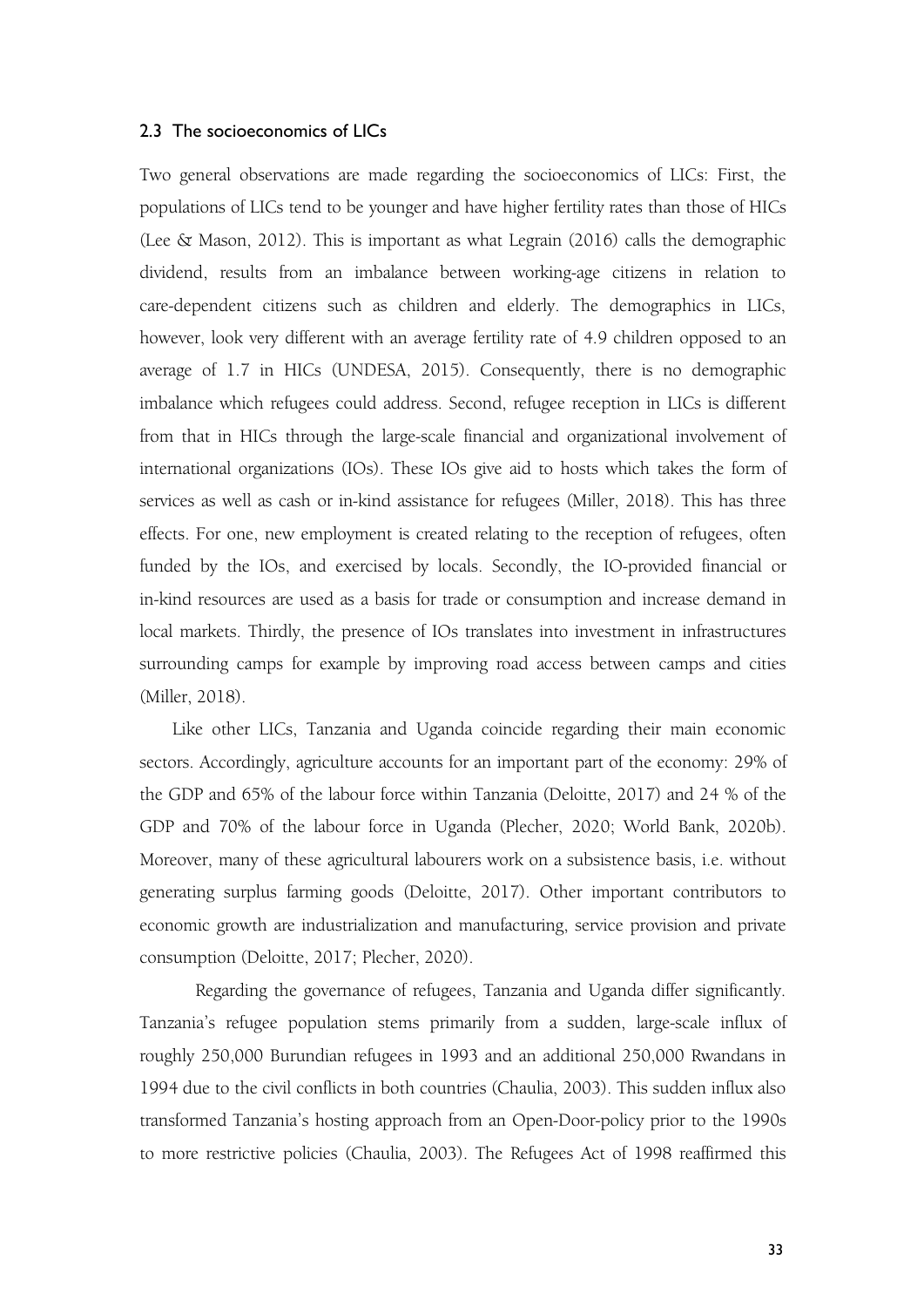### 2.3 The socioeconomics of LICs

Two general observations are made regarding the socioeconomics of LICs: First, the populations of LICs tend to be younger and have higher fertility rates than those of HICs (Lee & Mason, 2012). This is important as what Legrain (2016) calls the demographic dividend, results from an imbalance between working-age citizens in relation to care-dependent citizens such as children and elderly. The demographics in LICs, however, look very different with an average fertility rate of 4.9 children opposed to an average of 1.7 in HICs (UNDESA, 2015). Consequently, there is no demographic imbalance which refugees could address. Second, refugee reception in LICs is different from that in HICs through the large-scale financial and organizational involvement of international organizations (IOs). These IOs give aid to hosts which takes the form of services as well as cash or in-kind assistance for refugees (Miller, 2018). This has three effects. For one, new employment is created relating to the reception of refugees, often funded by the IOs, and exercised by locals. Secondly, the IO-provided financial or in-kind resources are used as a basis for trade or consumption and increase demand in local markets. Thirdly, the presence of IOs translates into investment in infrastructures surrounding camps for example by improving road access between camps and cities (Miller, 2018).

Like other LICs, Tanzania and Uganda coincide regarding their main economic sectors. Accordingly, agriculture accounts for an important part of the economy: 29% of the GDP and 65% of the labour force within Tanzania (Deloitte, 2017) and 24 % of the GDP and 70% of the labour force in Uganda (Plecher, 2020; World Bank, 2020b). Moreover, many of these agricultural labourers work on a subsistence basis, i.e. without generating surplus farming goods (Deloitte, 2017). Other important contributors to economic growth are industrialization and manufacturing, service provision and private consumption (Deloitte, 2017; Plecher, 2020).

Regarding the governance of refugees, Tanzania and Uganda differ significantly. Tanzania's refugee population stems primarily from a sudden, large-scale influx of roughly 250,000 Burundian refugees in 1993 and an additional 250,000 Rwandans in 1994 due to the civil conflicts in both countries (Chaulia, 2003). This sudden influx also transformed Tanzania's hosting approach from an Open-Door-policy prior to the 1990s to more restrictive policies (Chaulia, 2003). The Refugees Act of 1998 reaffirmed this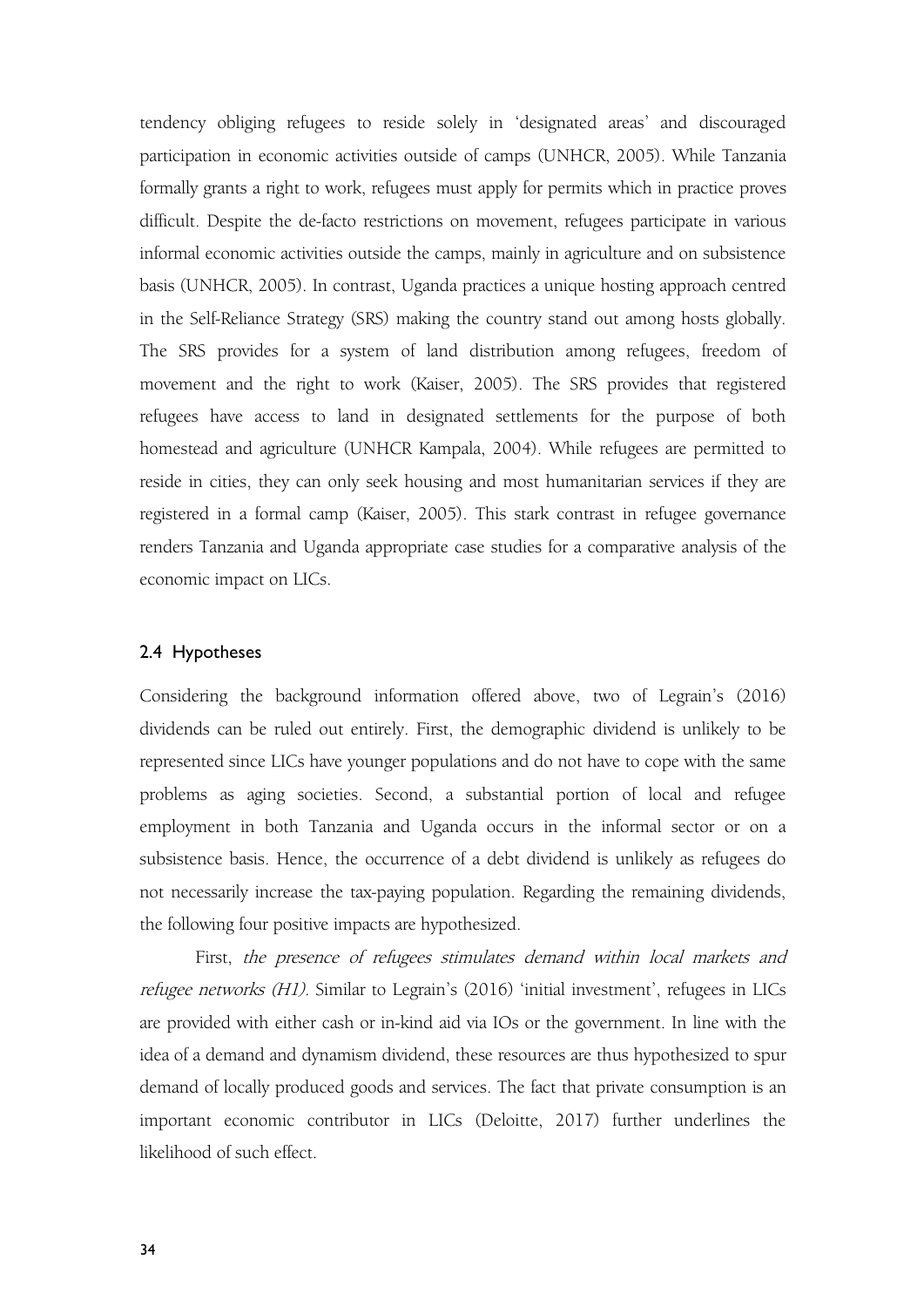tendency obliging refugees to reside solely in 'designated areas' and discouraged participation in economic activities outside of camps (UNHCR, 2005). While Tanzania formally grants a right to work, refugees must apply for permits which in practice proves difficult. Despite the de-facto restrictions on movement, refugees participate in various informal economic activities outside the camps, mainly in agriculture and on subsistence basis (UNHCR, 2005). In contrast, Uganda practices a unique hosting approach centred in the Self-Reliance Strategy (SRS) making the country stand out among hosts globally. The SRS provides for a system of land distribution among refugees, freedom of movement and the right to work (Kaiser, 2005). The SRS provides that registered refugees have access to land in designated settlements for the purpose of both homestead and agriculture (UNHCR Kampala, 2004). While refugees are permitted to reside in cities, they can only seek housing and most humanitarian services if they are registered in a formal camp (Kaiser, 2005). This stark contrast in refugee governance renders Tanzania and Uganda appropriate case studies for a comparative analysis of the economic impact on LICs.

#### 2.4 Hypotheses

Considering the background information offered above, two of Legrain's (2016) dividends can be ruled out entirely. First, the demographic dividend is unlikely to be represented since LICs have younger populations and do not have to cope with the same problems as aging societies. Second, a substantial portion of local and refugee employment in both Tanzania and Uganda occurs in the informal sector or on a subsistence basis. Hence, the occurrence of a debt dividend is unlikely as refugees do not necessarily increase the tax-paying population. Regarding the remaining dividends, the following four positive impacts are hypothesized.

First, the presence of refugees stimulates demand within local markets and refugee networks (H1). Similar to Legrain's (2016) 'initial investment', refugees in LICs are provided with either cash or in-kind aid via IOs or the government. In line with the idea of a demand and dynamism dividend, these resources are thus hypothesized to spur demand of locally produced goods and services. The fact that private consumption is an important economic contributor in LICs (Deloitte, 2017) further underlines the likelihood of such effect.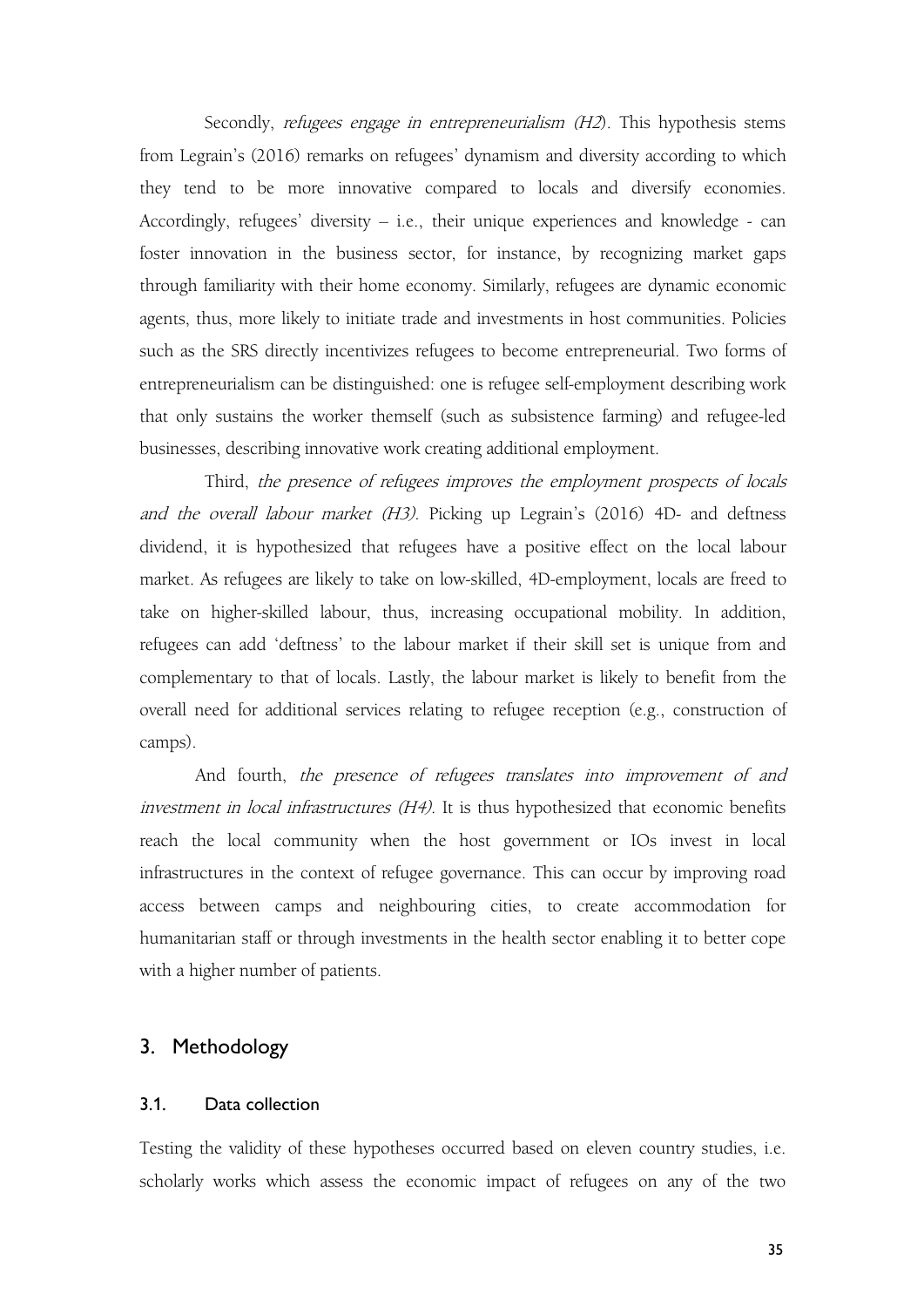Secondly, refugees engage in entrepreneurialism (H2). This hypothesis stems from Legrain's (2016) remarks on refugees' dynamism and diversity according to which they tend to be more innovative compared to locals and diversify economies. Accordingly, refugees' diversity – i.e., their unique experiences and knowledge - can foster innovation in the business sector, for instance, by recognizing market gaps through familiarity with their home economy. Similarly, refugees are dynamic economic agents, thus, more likely to initiate trade and investments in host communities. Policies such as the SRS directly incentivizes refugees to become entrepreneurial. Two forms of entrepreneurialism can be distinguished: one is refugee self-employment describing work that only sustains the worker themself (such as subsistence farming) and refugee-led businesses, describing innovative work creating additional employment.

Third, the presence of refugees improves the employment prospects of locals and the overall labour market (H3). Picking up Legrain's (2016) 4D- and deftness dividend, it is hypothesized that refugees have a positive effect on the local labour market. As refugees are likely to take on low-skilled, 4D-employment, locals are freed to take on higher-skilled labour, thus, increasing occupational mobility. In addition, refugees can add 'deftness' to the labour market if their skill set is unique from and complementary to that of locals. Lastly, the labour market is likely to benefit from the overall need for additional services relating to refugee reception (e.g., construction of camps).<br>And fourth, *the presence of refugees translates into improvement of and* 

investment in local infrastructures (H4). It is thus hypothesized that economic benefits reach the local community when the host government or IOs invest in local infrastructures in the context of refugee governance. This can occur by improving road access between camps and neighbouring cities, to create accommodation for humanitarian staff or through investments in the health sector enabling it to better cope with a higher number of patients.

### 3. Methodology

#### 3.1. Data collection

Testing the validity of these hypotheses occurred based on eleven country studies, i.e. scholarly works which assess the economic impact of refugees on anyof the two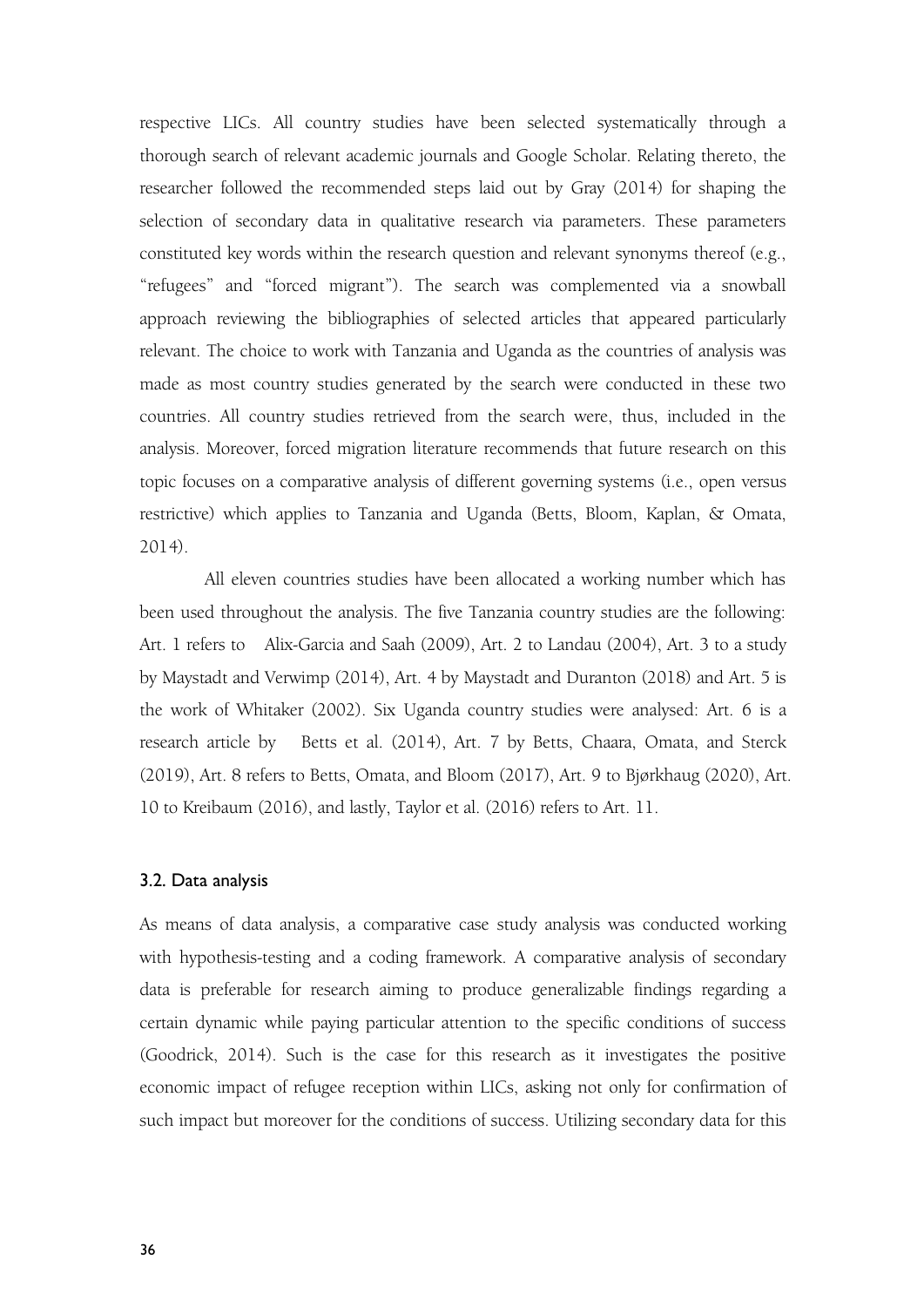respective LICs. All country studies have been selected systematically through a thorough search of relevant academic journals and Google Scholar. Relating thereto, the researcher followed the recommended steps laid out by Gray (2014) for shaping the selection of secondary data in qualitative research via parameters. These parameters constituted key words within the research question and relevant synonyms thereof (e.g., "refugees" and "forced migrant"). The search was complemented via a snowball approach reviewing the bibliographies of selected articles that appeared particularly relevant. The choice to work with Tanzania and Uganda as the countries of analysis was made as most country studies generated by the search were conducted in these two countries. All country studies retrieved from the search were, thus, included in the analysis. Moreover, forced migration literature recommends that future research on this topic focuses on a comparative analysis of different governing systems (i.e., open versus restrictive) which applies to Tanzania and Uganda (Betts, Bloom, Kaplan, & Omata, 2014).

All eleven countries studies have been allocated a working number which has been used throughout the analysis. The five Tanzania country studies are the following: Art. 1 refers to Alix-Garcia and Saah (2009), Art. 2 to Landau (2004), Art. 3 to a study by Maystadt and Verwimp (2014), Art. 4 by Maystadt and Duranton (2018) and Art. 5 is the work of Whitaker (2002). Six Uganda country studies were analysed: Art. 6 is a research article by Betts et al. (2014), Art. 7 by Betts, Chaara, Omata, and Sterck (2019), Art. 8 refers to Betts, Omata, and Bloom (2017), Art. 9 to Bjørkhaug (2020), Art. 10 to Kreibaum (2016), and lastly, Taylor et al. (2016) refers to Art. 11.

### 3.2. Data analysis

As means of data analysis, a comparative case study analysis was conducted working with hypothesis-testing and a coding framework. A comparative analysis of secondary data is preferable for research aiming to produce generalizable findings regarding a certain dynamic while paying particular attention to the specific conditions of success (Goodrick, 2014). Such is the case for this research as it investigates the positive economic impact of refugee reception within LICs, asking not only for confirmation of such impact but moreover for the conditions of success. Utilizing secondary data for this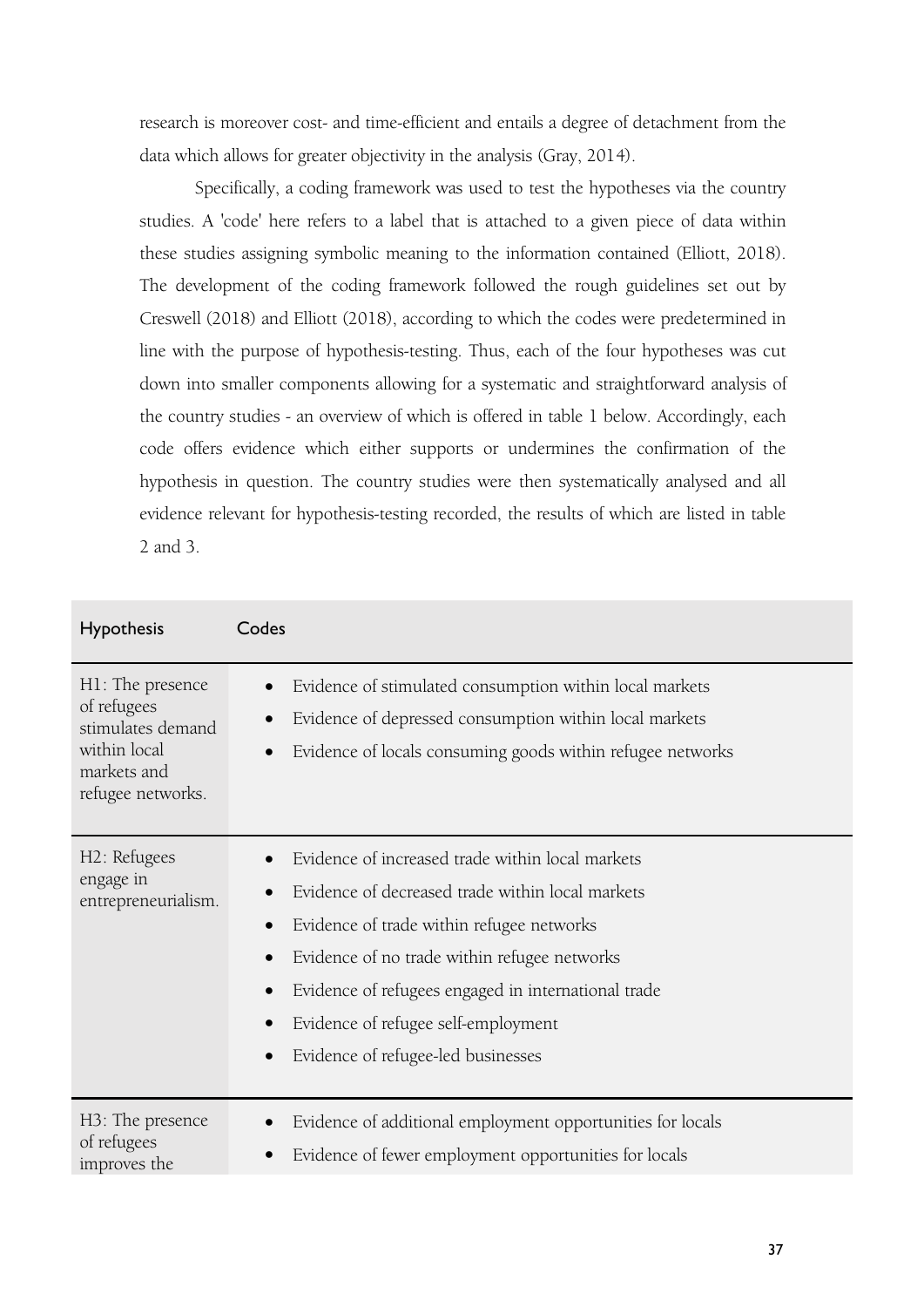research is moreover cost- and time-efficient and entails a degree of detachment from the data which allows for greater objectivity in the analysis (Gray, 2014).

Specifically, a coding framework was used to test the hypotheses via the country studies. A 'code' here refers to a label that is attached to a given piece of data within these studies assigning symbolic meaning to the information contained (Elliott, 2018). The development of the coding framework followed the rough guidelines set out by Creswell (2018) and Elliott (2018), according to which the codes were predetermined in line with the purpose of hypothesis-testing. Thus, each of the four hypotheses was cut down into smaller components allowing for a systematic and straightforward analysis of the country studies - an overview of which is offered in table 1 below. Accordingly, each code offers evidence which either supports or undermines the confirmation of the hypothesis in question. The country studies were then systematically analysed and all evidence relevant for hypothesis-testing recorded, the results of which are listed in table 2 and 3.

| Hypothesis                                       | Codes                                                                                                                                                                                                                                                                                                                                                                                                                            |
|--------------------------------------------------|----------------------------------------------------------------------------------------------------------------------------------------------------------------------------------------------------------------------------------------------------------------------------------------------------------------------------------------------------------------------------------------------------------------------------------|
| H1: The presence                                 | Evidence of stimulated consumption within local markets                                                                                                                                                                                                                                                                                                                                                                          |
| of refugees                                      | $\bullet$                                                                                                                                                                                                                                                                                                                                                                                                                        |
| stimulates demand                                | Evidence of depressed consumption within local markets                                                                                                                                                                                                                                                                                                                                                                           |
| within local                                     | $\bullet$                                                                                                                                                                                                                                                                                                                                                                                                                        |
| markets and                                      | Evidence of locals consuming goods within refugee networks                                                                                                                                                                                                                                                                                                                                                                       |
| refugee networks.                                | $\bullet$                                                                                                                                                                                                                                                                                                                                                                                                                        |
| H2: Refugees<br>engage in<br>entrepreneurialism. | Evidence of increased trade within local markets<br>$\bullet$<br>Evidence of decreased trade within local markets<br>$\bullet$<br>Evidence of trade within refugee networks<br>$\bullet$<br>Evidence of no trade within refugee networks<br>$\bullet$<br>Evidence of refugees engaged in international trade<br>$\bullet$<br>Evidence of refugee self-employment<br>$\bullet$<br>Evidence of refugee-led businesses<br>$\bullet$ |
| H3: The presence                                 | Evidence of additional employment opportunities for locals                                                                                                                                                                                                                                                                                                                                                                       |
| of refugees                                      | $\bullet$                                                                                                                                                                                                                                                                                                                                                                                                                        |
| improves the                                     | Evidence of fewer employment opportunities for locals                                                                                                                                                                                                                                                                                                                                                                            |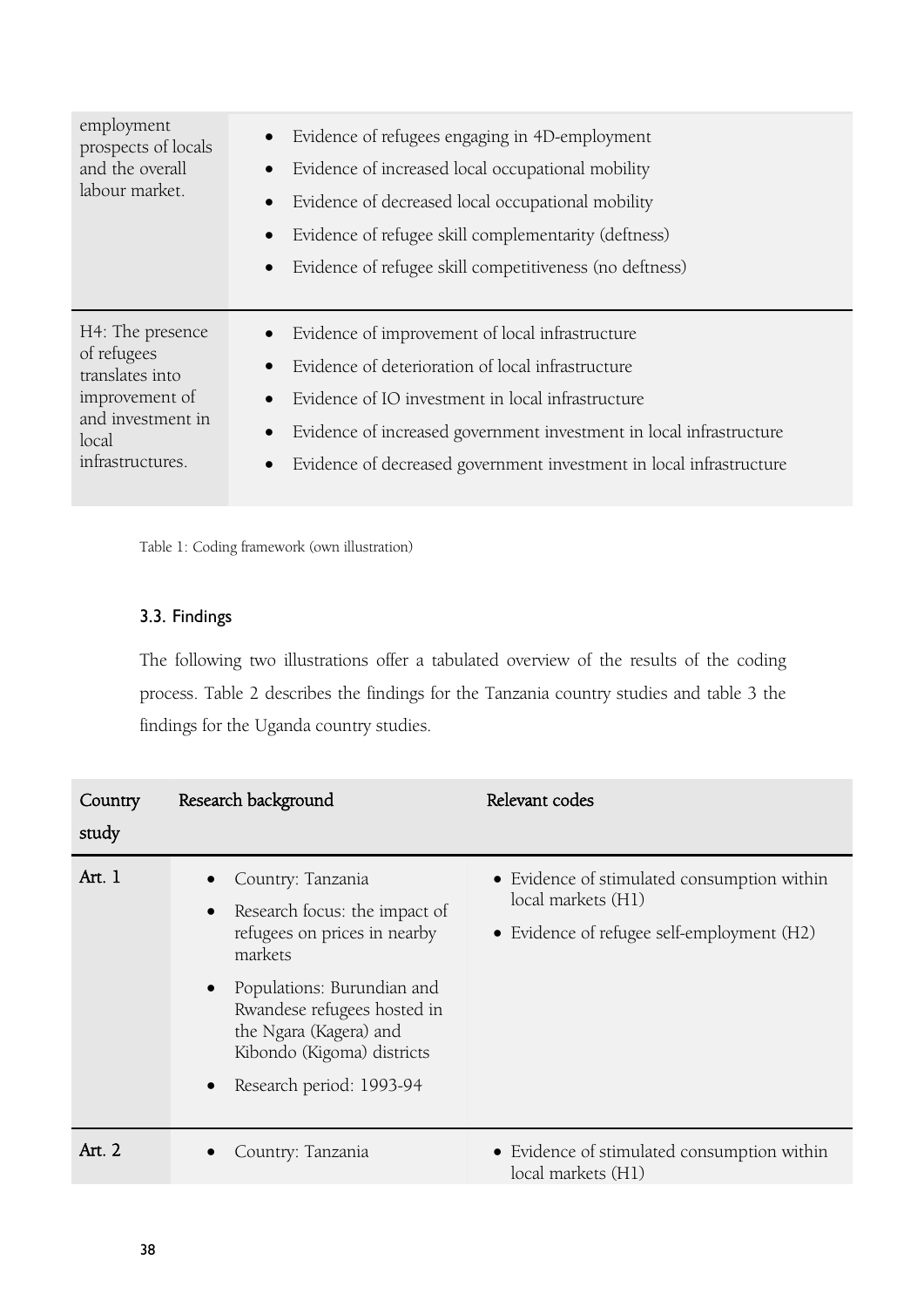Table 1: Coding framework (own illustration)

# 3.3. Findings

The following two illustrations offer a tabulated overview of the results of the coding process. Table 2 describes the findings for the Tanzania country studies and table 3 the findings for the Uganda country studies.

| Country<br>study | Research background                                                                                                                                                                                                                            | Relevant codes                                                                                                  |
|------------------|------------------------------------------------------------------------------------------------------------------------------------------------------------------------------------------------------------------------------------------------|-----------------------------------------------------------------------------------------------------------------|
| Art. 1           | Country: Tanzania<br>Research focus: the impact of<br>refugees on prices in nearby<br>markets<br>Populations: Burundian and<br>Rwandese refugees hosted in<br>the Ngara (Kagera) and<br>Kibondo (Kigoma) districts<br>Research period: 1993-94 | • Evidence of stimulated consumption within<br>local markets (H1)<br>• Evidence of refugee self-employment (H2) |
| Art. 2           | Country: Tanzania                                                                                                                                                                                                                              | • Evidence of stimulated consumption within<br>local markets (H1)                                               |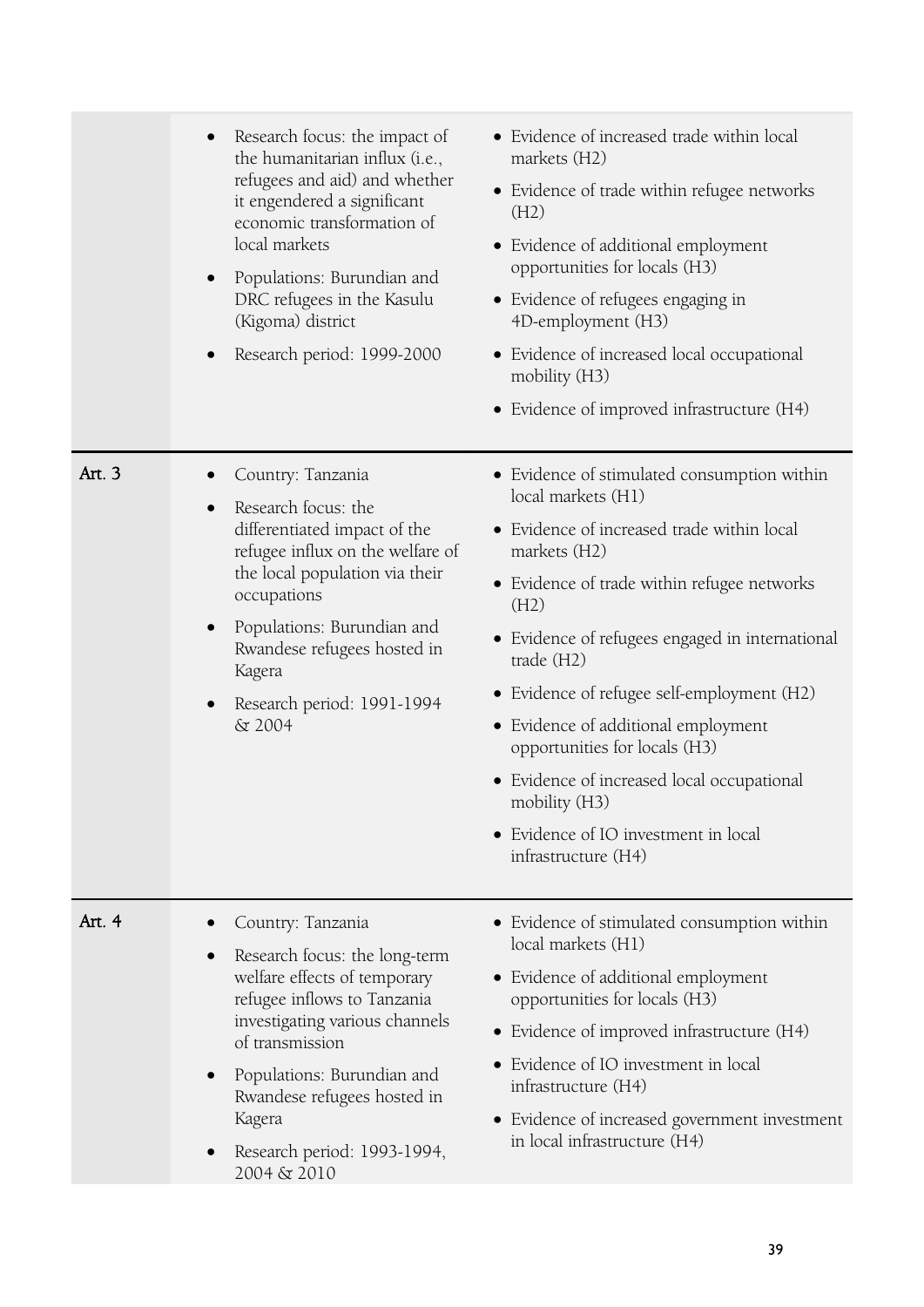|        | Research focus: the impact of<br>$\bullet$<br>the humanitarian influx (i.e.,<br>refugees and aid) and whether<br>it engendered a significant<br>economic transformation of<br>local markets<br>Populations: Burundian and<br>DRC refugees in the Kasulu<br>(Kigoma) district<br>Research period: 1999-2000<br>$\bullet$ | • Evidence of increased trade within local<br>markets (H2)<br>• Evidence of trade within refugee networks<br>(H2)<br>• Evidence of additional employment<br>opportunities for locals (H3)<br>• Evidence of refugees engaging in<br>4D-employment (H3)<br>• Evidence of increased local occupational<br>mobility (H3)<br>• Evidence of improved infrastructure (H4)                                                                                                                                          |
|--------|-------------------------------------------------------------------------------------------------------------------------------------------------------------------------------------------------------------------------------------------------------------------------------------------------------------------------|-------------------------------------------------------------------------------------------------------------------------------------------------------------------------------------------------------------------------------------------------------------------------------------------------------------------------------------------------------------------------------------------------------------------------------------------------------------------------------------------------------------|
| Art. 3 | Country: Tanzania<br>Research focus: the<br>$\bullet$<br>differentiated impact of the<br>refugee influx on the welfare of<br>the local population via their<br>occupations<br>Populations: Burundian and<br>$\bullet$<br>Rwandese refugees hosted in<br>Kagera<br>Research period: 1991-1994<br>$\bullet$<br>& 2004     | • Evidence of stimulated consumption within<br>local markets (H1)<br>• Evidence of increased trade within local<br>markets (H2)<br>• Evidence of trade within refugee networks<br>(H2)<br>• Evidence of refugees engaged in international<br>trade (H2)<br>• Evidence of refugee self-employment (H2)<br>• Evidence of additional employment<br>opportunities for locals (H3)<br>• Evidence of increased local occupational<br>mobility (H3)<br>• Evidence of IO investment in local<br>infrastructure (H4) |
| Art. 4 | Country: Tanzania<br>Research focus: the long-term<br>$\bullet$<br>welfare effects of temporary<br>refugee inflows to Tanzania<br>investigating various channels<br>of transmission<br>Populations: Burundian and<br>$\bullet$<br>Rwandese refugees hosted in<br>Kagera<br>Research period: 1993-1994,<br>2004 & 2010   | • Evidence of stimulated consumption within<br>local markets (H1)<br>• Evidence of additional employment<br>opportunities for locals (H3)<br>• Evidence of improved infrastructure (H4)<br>• Evidence of IO investment in local<br>infrastructure (H4)<br>• Evidence of increased government investment<br>in local infrastructure (H4)                                                                                                                                                                     |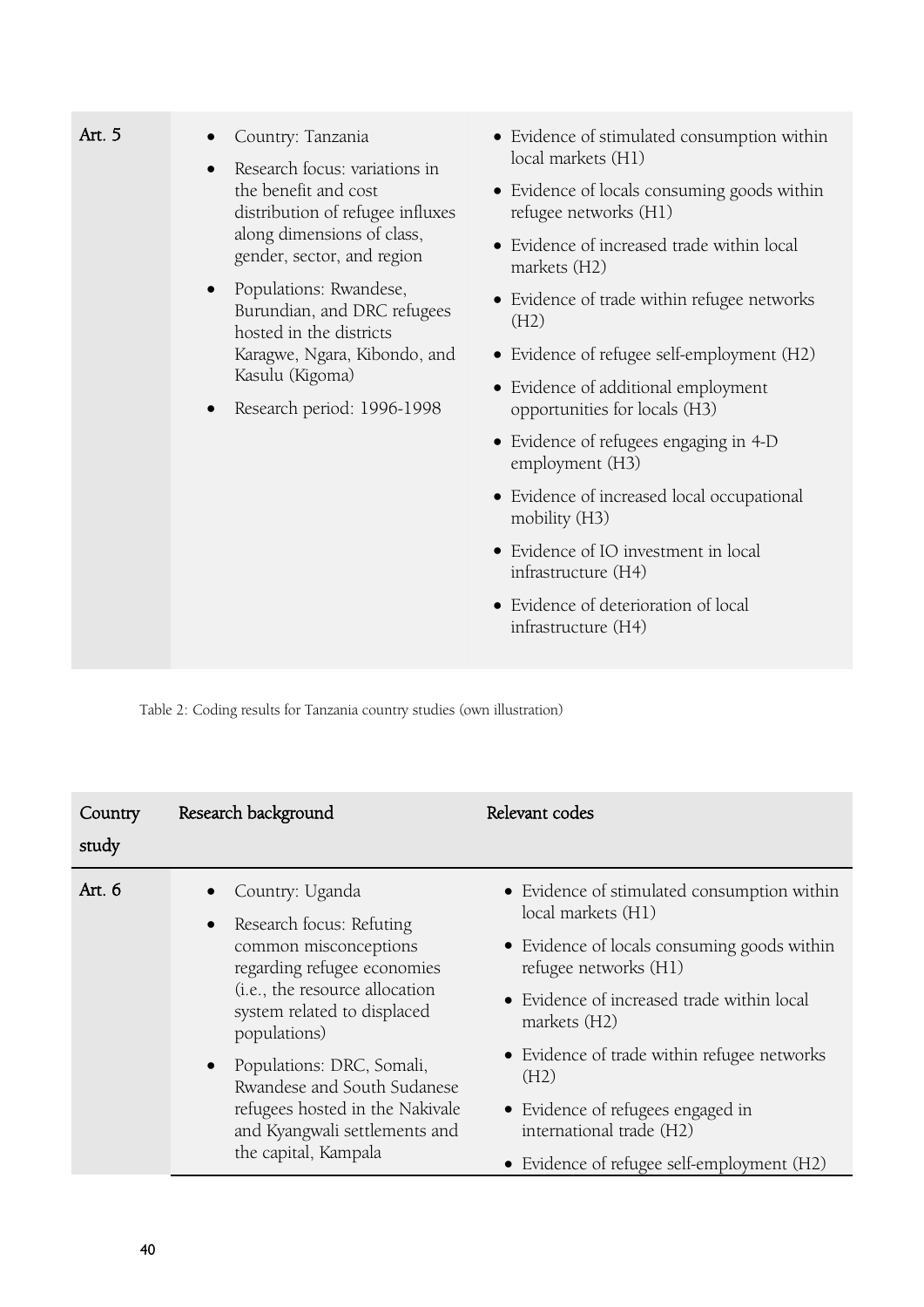| Art. 5 | Country: Tanzania<br>$\bullet$<br>Research focus: variations in<br>$\bullet$<br>the benefit and cost<br>distribution of refugee influxes                                                    | • Evidence of stimulated consumption within<br>local markets (H1)    |
|--------|---------------------------------------------------------------------------------------------------------------------------------------------------------------------------------------------|----------------------------------------------------------------------|
|        |                                                                                                                                                                                             | • Evidence of locals consuming goods within<br>refugee networks (H1) |
|        | along dimensions of class,<br>gender, sector, and region                                                                                                                                    | • Evidence of increased trade within local<br>markets (H2)           |
|        | Populations: Rwandese,<br>$\bullet$<br>Burundian, and DRC refugees<br>hosted in the districts<br>Karagwe, Ngara, Kibondo, and<br>Kasulu (Kigoma)<br>Research period: 1996-1998<br>$\bullet$ | • Evidence of trade within refugee networks<br>(H2)                  |
|        |                                                                                                                                                                                             | • Evidence of refugee self-employment (H2)                           |
|        |                                                                                                                                                                                             | • Evidence of additional employment<br>opportunities for locals (H3) |
|        |                                                                                                                                                                                             | • Evidence of refugees engaging in 4-D<br>employment (H3)            |
|        |                                                                                                                                                                                             | • Evidence of increased local occupational<br>mobility (H3)          |
|        |                                                                                                                                                                                             | • Evidence of IO investment in local<br>infrastructure (H4)          |
|        |                                                                                                                                                                                             | • Evidence of deterioration of local<br>infrastructure (H4)          |
|        |                                                                                                                                                                                             |                                                                      |

Table 2: Coding results for Tanzania country studies (own illustration)

| Country<br>study | Research background                                                                                                                                                                                                                                                                                                                          | Relevant codes                                                                                                                                                                                                                                                                                                                                                                |
|------------------|----------------------------------------------------------------------------------------------------------------------------------------------------------------------------------------------------------------------------------------------------------------------------------------------------------------------------------------------|-------------------------------------------------------------------------------------------------------------------------------------------------------------------------------------------------------------------------------------------------------------------------------------------------------------------------------------------------------------------------------|
| Art. 6           | Country: Uganda<br>Research focus: Refuting<br>common misconceptions<br>regarding refugee economies<br>(i.e., the resource allocation<br>system related to displaced<br>populations)<br>Populations: DRC, Somali,<br>Rwandese and South Sudanese<br>refugees hosted in the Nakivale<br>and Kyangwali settlements and<br>the capital, Kampala | • Evidence of stimulated consumption within<br>local markets (H1)<br>• Evidence of locals consuming goods within<br>refugee networks (H1)<br>• Evidence of increased trade within local<br>markets (H2)<br>• Evidence of trade within refugee networks<br>(H2)<br>• Evidence of refugees engaged in<br>international trade (H2)<br>• Evidence of refugee self-employment (H2) |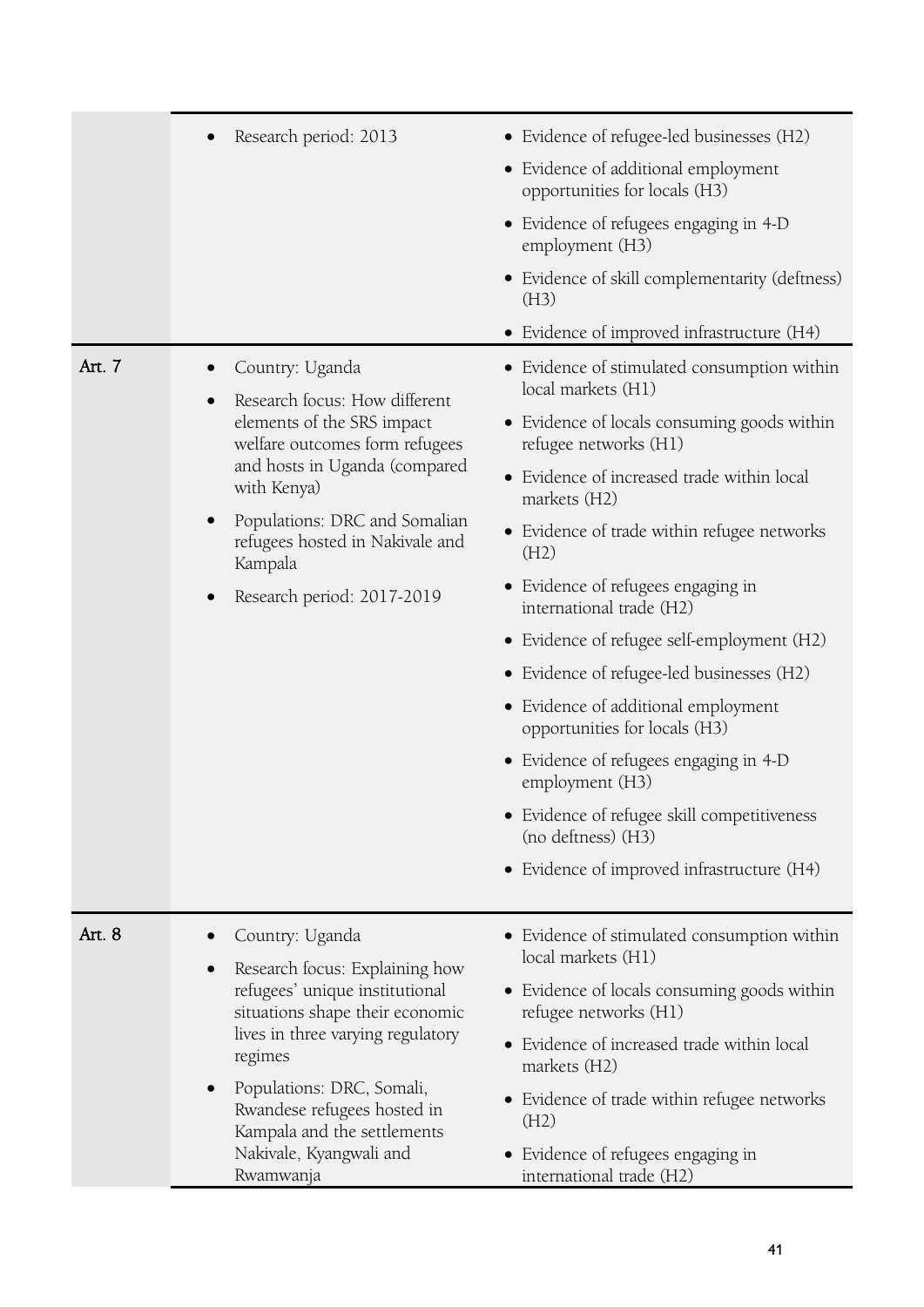|                      | Research period: 2013                                                                                                                                                                                                                                                                                            | • Evidence of refugee-led businesses (H2)                            |
|----------------------|------------------------------------------------------------------------------------------------------------------------------------------------------------------------------------------------------------------------------------------------------------------------------------------------------------------|----------------------------------------------------------------------|
|                      |                                                                                                                                                                                                                                                                                                                  | • Evidence of additional employment<br>opportunities for locals (H3) |
|                      |                                                                                                                                                                                                                                                                                                                  | • Evidence of refugees engaging in 4-D<br>employment (H3)            |
|                      |                                                                                                                                                                                                                                                                                                                  | • Evidence of skill complementarity (deftness)<br>(H3)               |
|                      |                                                                                                                                                                                                                                                                                                                  | • Evidence of improved infrastructure (H4)                           |
| Art. 7               | Country: Uganda                                                                                                                                                                                                                                                                                                  | • Evidence of stimulated consumption within<br>local markets (H1)    |
|                      | Research focus: How different<br>elements of the SRS impact<br>welfare outcomes form refugees<br>and hosts in Uganda (compared<br>with Kenya)                                                                                                                                                                    | • Evidence of locals consuming goods within<br>refugee networks (H1) |
| $\bullet$<br>Kampala |                                                                                                                                                                                                                                                                                                                  | • Evidence of increased trade within local<br>markets (H2)           |
|                      | Populations: DRC and Somalian<br>refugees hosted in Nakivale and                                                                                                                                                                                                                                                 | • Evidence of trade within refugee networks<br>(H2)                  |
|                      | Research period: 2017-2019                                                                                                                                                                                                                                                                                       | • Evidence of refugees engaging in<br>international trade (H2)       |
|                      |                                                                                                                                                                                                                                                                                                                  | • Evidence of refugee self-employment (H2)                           |
|                      |                                                                                                                                                                                                                                                                                                                  | • Evidence of refugee-led businesses (H2)                            |
|                      |                                                                                                                                                                                                                                                                                                                  | • Evidence of additional employment<br>opportunities for locals (H3) |
|                      |                                                                                                                                                                                                                                                                                                                  | • Evidence of refugees engaging in 4-D<br>employment (H3)            |
|                      |                                                                                                                                                                                                                                                                                                                  | • Evidence of refugee skill competitiveness<br>(no deftness) (H3)    |
|                      |                                                                                                                                                                                                                                                                                                                  | • Evidence of improved infrastructure (H4)                           |
| Art. 8               | Country: Uganda                                                                                                                                                                                                                                                                                                  | • Evidence of stimulated consumption within                          |
|                      | Research focus: Explaining how<br>$\bullet$<br>refugees' unique institutional<br>situations shape their economic<br>lives in three varying regulatory<br>regimes<br>Populations: DRC, Somali,<br>$\bullet$<br>Rwandese refugees hosted in<br>Kampala and the settlements<br>Nakivale, Kyangwali and<br>Rwamwanja | local markets (H1)                                                   |
|                      |                                                                                                                                                                                                                                                                                                                  | • Evidence of locals consuming goods within<br>refugee networks (H1) |
|                      |                                                                                                                                                                                                                                                                                                                  | • Evidence of increased trade within local<br>markets (H2)           |
|                      |                                                                                                                                                                                                                                                                                                                  | • Evidence of trade within refugee networks<br>(H2)                  |
|                      |                                                                                                                                                                                                                                                                                                                  | • Evidence of refugees engaging in<br>international trade (H2)       |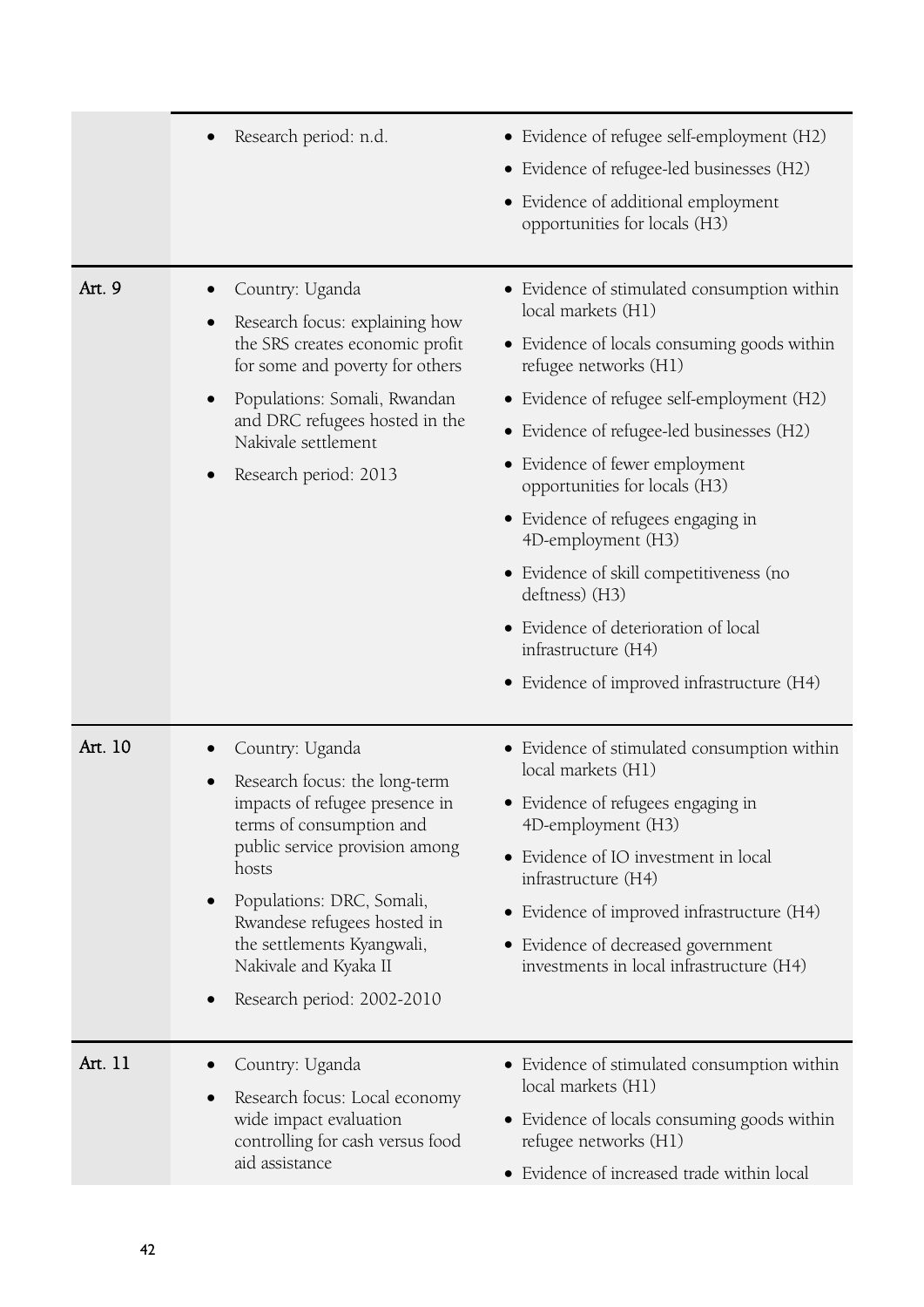|         | Research period: n.d.<br>$\bullet$                                                                                                                                                                                                                                                                         | • Evidence of refugee self-employment (H2)<br>• Evidence of refugee-led businesses (H2)<br>• Evidence of additional employment<br>opportunities for locals (H3)                                                                                                                                                                                                                                                                                                                                                                               |
|---------|------------------------------------------------------------------------------------------------------------------------------------------------------------------------------------------------------------------------------------------------------------------------------------------------------------|-----------------------------------------------------------------------------------------------------------------------------------------------------------------------------------------------------------------------------------------------------------------------------------------------------------------------------------------------------------------------------------------------------------------------------------------------------------------------------------------------------------------------------------------------|
| Art. 9  | Country: Uganda<br>Research focus: explaining how<br>$\bullet$<br>the SRS creates economic profit<br>for some and poverty for others<br>Populations: Somali, Rwandan<br>and DRC refugees hosted in the<br>Nakivale settlement<br>Research period: 2013                                                     | • Evidence of stimulated consumption within<br>local markets (H1)<br>• Evidence of locals consuming goods within<br>refugee networks (H1)<br>• Evidence of refugee self-employment (H2)<br>• Evidence of refugee-led businesses (H2)<br>• Evidence of fewer employment<br>opportunities for locals (H3)<br>• Evidence of refugees engaging in<br>4D-employment (H3)<br>• Evidence of skill competitiveness (no<br>deftness) (H3)<br>• Evidence of deterioration of local<br>infrastructure (H4)<br>• Evidence of improved infrastructure (H4) |
| Art. 10 | Country: Uganda<br>Research focus: the long-term<br>impacts of refugee presence in<br>terms of consumption and<br>public service provision among<br>hosts<br>Populations: DRC, Somali,<br>Rwandese refugees hosted in<br>the settlements Kyangwali,<br>Nakivale and Kyaka II<br>Research period: 2002-2010 | • Evidence of stimulated consumption within<br>local markets (H1)<br>• Evidence of refugees engaging in<br>4D-employment (H3)<br>• Evidence of IO investment in local<br>infrastructure (H4)<br>• Evidence of improved infrastructure (H4)<br>• Evidence of decreased government<br>investments in local infrastructure (H4)                                                                                                                                                                                                                  |
| Art. 11 | Country: Uganda<br>Research focus: Local economy<br>wide impact evaluation<br>controlling for cash versus food<br>aid assistance                                                                                                                                                                           | • Evidence of stimulated consumption within<br>local markets (H1)<br>• Evidence of locals consuming goods within<br>refugee networks (H1)<br>• Evidence of increased trade within local                                                                                                                                                                                                                                                                                                                                                       |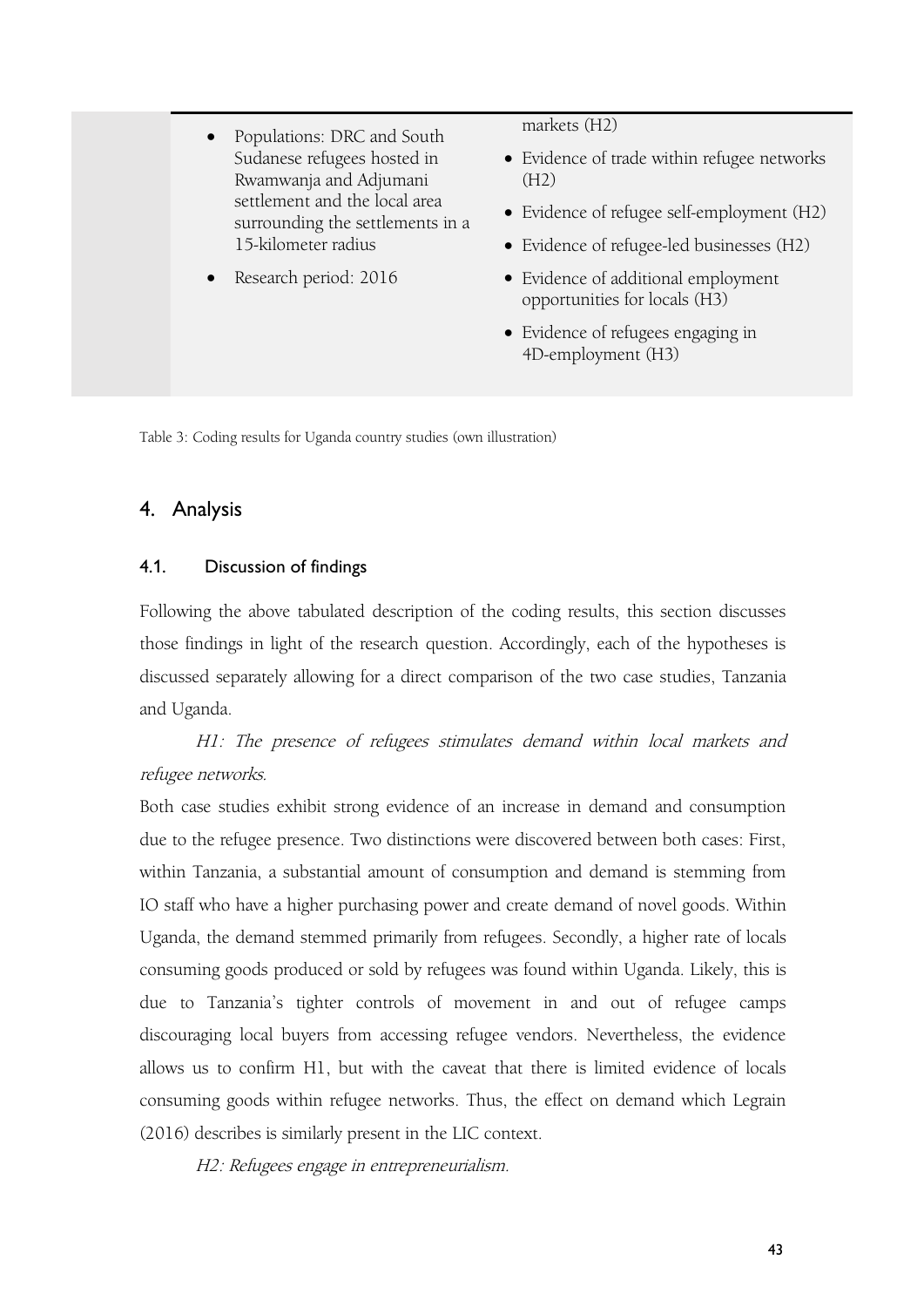- Populations: DRC and South Sudanese refugees hosted in Rwamwanja and Adjumani settlement and the local area surrounding the settlements in a 15-kilometer radius
- Research period: 2016

markets (H2)

- Evidence of trade within refugee networks (H2)
- Evidence of refugee self-employment (H2)
- Evidence of refugee-led businesses (H2)
- Evidence of additional employment opportunities for locals (H3)
- Evidence of refugees engaging in 4D-employment (H3)

Table 3: Coding results for Uganda country studies (own illustration)

# 4. Analysis

### 4.1. Discussion of findings

Following the above tabulated description of the coding results, this section discusses those findings in light of the research question. Accordingly, each of the hypotheses is discussed separately allowing for a direct comparison of the two case studies, Tanzania and Uganda.

H1: The presence of refugees stimulates demand within local markets and refugee networks.

Both case studies exhibit strong evidence of an increase in demand and consumption due to the refugee presence. Two distinctions were discovered between both cases: First, within Tanzania, a substantial amount of consumption and demand is stemming from IO staff who have a higher purchasing power and create demand of novel goods. Within Uganda, the demand stemmed primarily from refugees. Secondly, a higher rate of locals consuming goods produced or sold by refugees was found within Uganda. Likely, this is due to Tanzania's tighter controls of movement in and out of refugee camps discouraging local buyers from accessing refugee vendors. Nevertheless, the evidence allows us to confirm H1, but with the caveat that there islimited evidence of locals consuming goods within refugee networks. Thus, the effect on demand which Legrain (2016) describes is similarly present in the LIC context.

H2: Refugees engage in entrepreneurialism.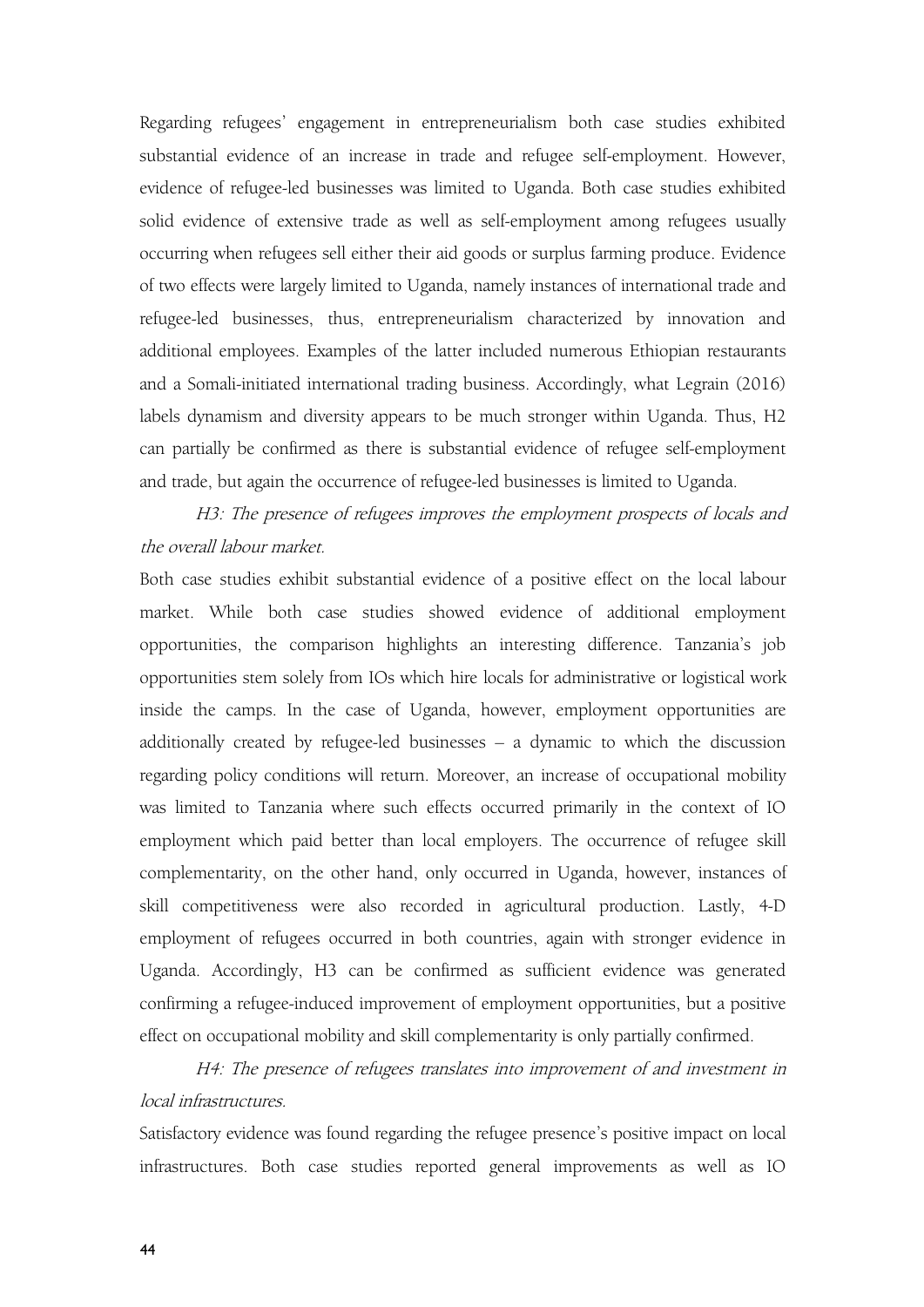Regarding refugees' engagement in entrepreneurialism both case studies exhibited substantial evidence of an increase in trade and refugee self-employment. However, evidence of refugee-led businesses was limited to Uganda. Both case studies exhibited solid evidence of extensive trade as well as self-employment among refugees usually occurring when refugees sell either their aid goods or surplus farming produce. Evidence of two effects were largely limited to Uganda, namely instances of international trade and refugee-led businesses, thus, entrepreneurialism characterized by innovation and additional employees. Examples of the latter included numerous Ethiopian restaurants and a Somali-initiated international trading business. Accordingly, what Legrain (2016) labels dynamism and diversity appears to be much stronger within Uganda. Thus, H2 can partially be confirmed as there is substantial evidence of refugee self-employment and trade, but again the occurrence of refugee-led businesses is limited to Uganda.

H3: The presence of refugees improves the employment prospects of locals and the overall labour market.

Both case studies exhibit substantial evidence of a positive effect on the local labour market. While both case studies showed evidence of additional employment opportunities, the comparison highlights an interesting difference. Tanzania's job opportunities stem solely from IOs which hire locals for administrative or logistical work inside the camps. In the case of Uganda, however, employment opportunities are additionally created by refugee-led businesses – a dynamic to which the discussion regarding policy conditions will return. Moreover, an increase of occupational mobility was limited to Tanzania where such effects occurred primarily in the context of IO employment which paid better than local employers. The occurrence of refugee skill complementarity, on the other hand, only occurred in Uganda, however, instances of skill competitiveness were also recorded in agricultural production. Lastly, 4-D employment of refugees occurred in both countries, again with stronger evidence in Uganda. Accordingly, H3 can be confirmed as sufficient evidence was generated confirming a refugee-induced improvement of employment opportunities, but a positive effect on occupational mobility and skill complementarity is only partially confirmed.

H4: The presence of refugees translates into improvement of and investment in local infrastructures.

Satisfactory evidence was found regarding the refugee presence's positive impact on local infrastructures. Both case studies reported general improvements as well as IO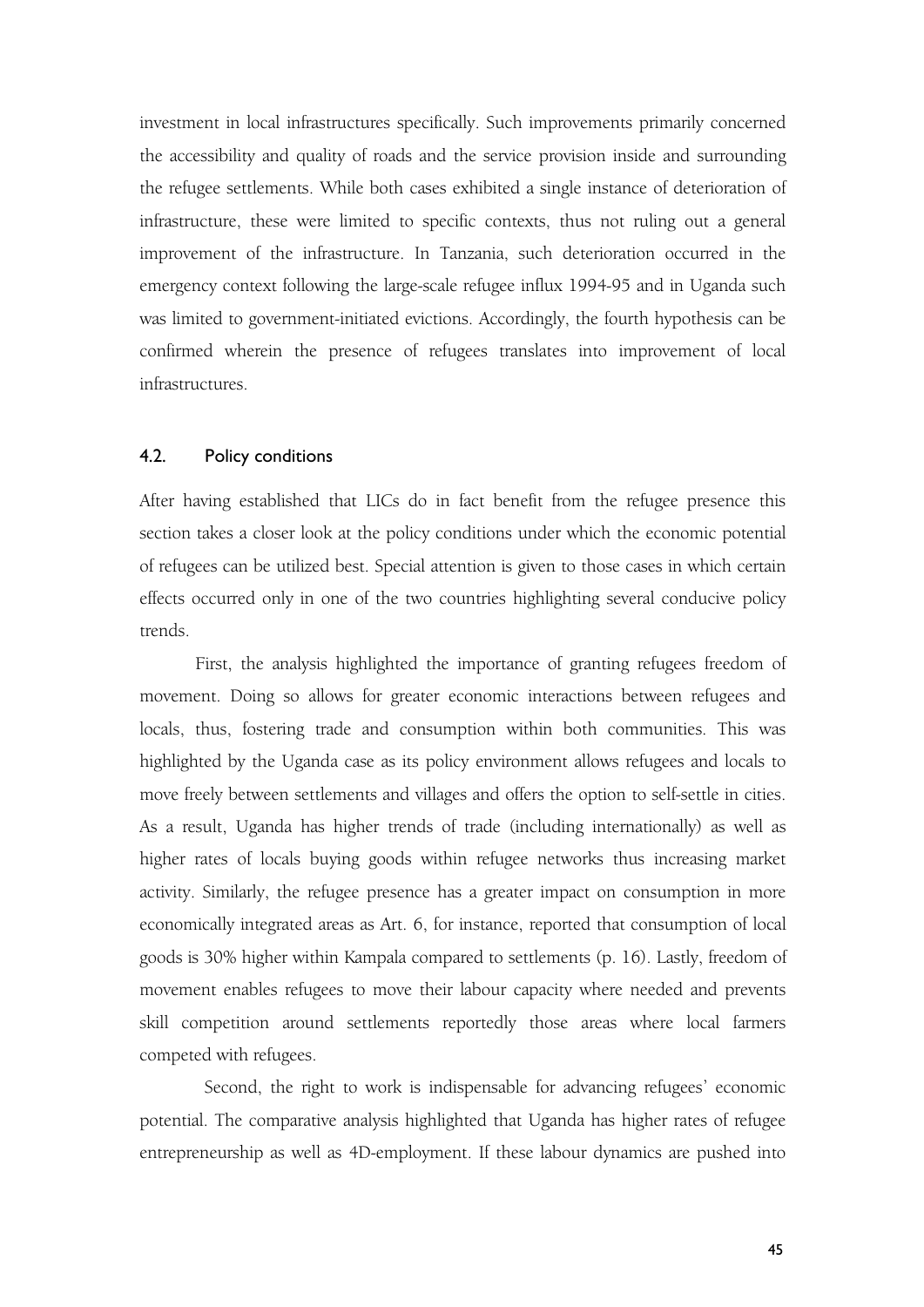investment in local infrastructures specifically. Such improvements primarily concerned the accessibility and quality of roads and the service provision inside and surrounding the refugee settlements. While both cases exhibited a single instance of deterioration of infrastructure, these were limited to specific contexts, thus not ruling out a general improvement of the infrastructure. In Tanzania, such deterioration occurred in the emergency context following the large-scale refugee influx 1994-95 and in Uganda such was limited to government-initiated evictions. Accordingly, the fourth hypothesis can be confirmed wherein the presence of refugees translates into improvement of local infrastructures.

### 4.2. Policy conditions

After having established that LICs do in fact benefit from the refugee presence this section takes a closer look at the policy conditions under which the economic potential of refugees can be utilized best. Special attention is given to those cases in which certain effects occurred only in one of the two countries highlighting several conducive policy trends.

First, the analysis highlighted the importance of granting refugees freedom of movement. Doing so allows for greater economic interactions between refugees and locals, thus, fostering trade and consumption within both communities. This was highlighted by the Uganda case as its policy environment allows refugees and locals to move freely between settlements and villages and offers the option to self-settle in cities. As a result, Uganda has higher trends of trade (including internationally) as well as higher rates of locals buying goods within refugee networks thus increasing market activity. Similarly, the refugee presence has a greater impact on consumption in more economically integrated areas as Art.6, for instance, reported that consumption of local goods is 30% higher within Kampala compared to settlements (p. 16). Lastly, freedom of movement enables refugees to move their labour capacity where needed and prevents skill competition around settlements reportedly those areas where local farmers competed with refugees.

Second, the right to work is indispensable for advancing refugees' economic potential. The comparative analysis highlighted that Uganda has higher rates of refugee entrepreneurship as well as 4D-employment. If these labour dynamics are pushed into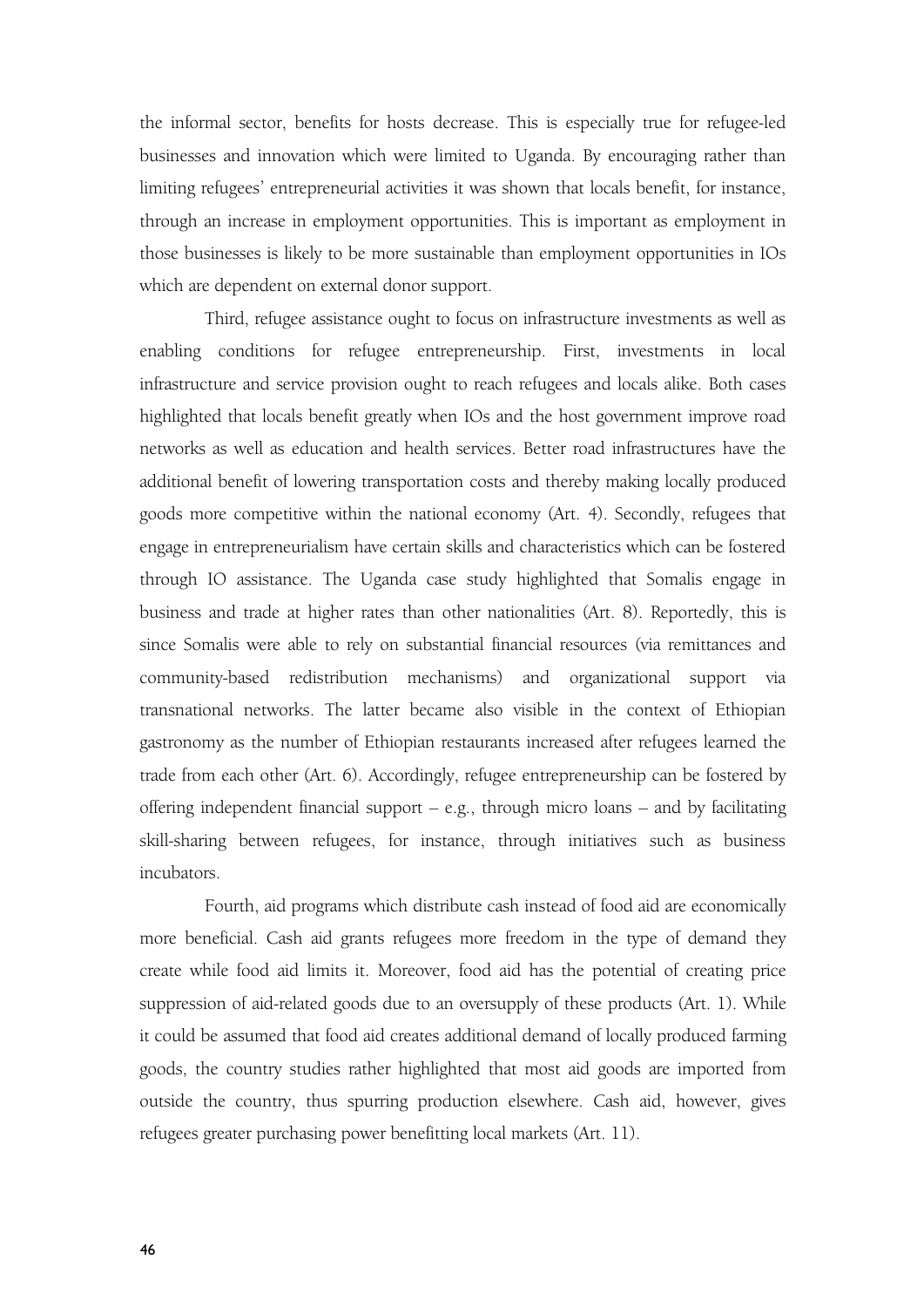the informal sector, benefits for hosts decrease. This is especially true for refugee-led businesses and innovation which were limited to Uganda. By encouraging rather than limiting refugees' entrepreneurial activities it was shown that locals benefit, for instance, through an increase in employment opportunities. This is important as employment in those businesses is likely to be more sustainable than employment opportunities in IOs which are dependent on external donor support.

Third, refugee assistance ought to focus on infrastructure investments as well as enabling conditions for refugee entrepreneurship. First, investments in local infrastructure and service provision ought to reach refugees and locals alike. Both cases highlighted that locals benefit greatly when IOs and the host government improve road networks as well as education and health services. Better road infrastructures have the additional benefit of lowering transportation costs and thereby making locally produced goods more competitive within the national economy (Art. 4). Secondly, refugees that engage in entrepreneurialism have certain skills and characteristics which can be fostered through IO assistance. The Uganda case study highlighted that Somalis engage in business and trade at higher rates than other nationalities (Art. 8). Reportedly, this is since Somalis were able to rely on substantial financial resources (via remittances and community-based redistribution mechanisms) and organizational support via transnational networks. The latter became also visible in the context of Ethiopian gastronomy as the number of Ethiopian restaurants increased after refugees learned the trade from each other (Art. 6). Accordingly, refugee entrepreneurship can be fostered by offering independent financial support  $-$  e.g., through micro loans  $-$  and by facilitating skill-sharing between refugees, for instance, through initiatives such as business incubators.

Fourth, aid programs which distribute cash instead of food aid are economically more beneficial. Cash aid grants refugees more freedom in the type of demand they create while food aid limits it. Moreover, food aid has the potential of creating price suppression of aid-related goods due to an oversupply of these products (Art.1). While it could be assumed that food aid creates additional demand of locally produced farming goods, the country studies rather highlighted that mostaid goods are imported from outside the country, thus spurring production elsewhere. Cash aid, however, gives refugees greater purchasing power benefitting local markets (Art. 11).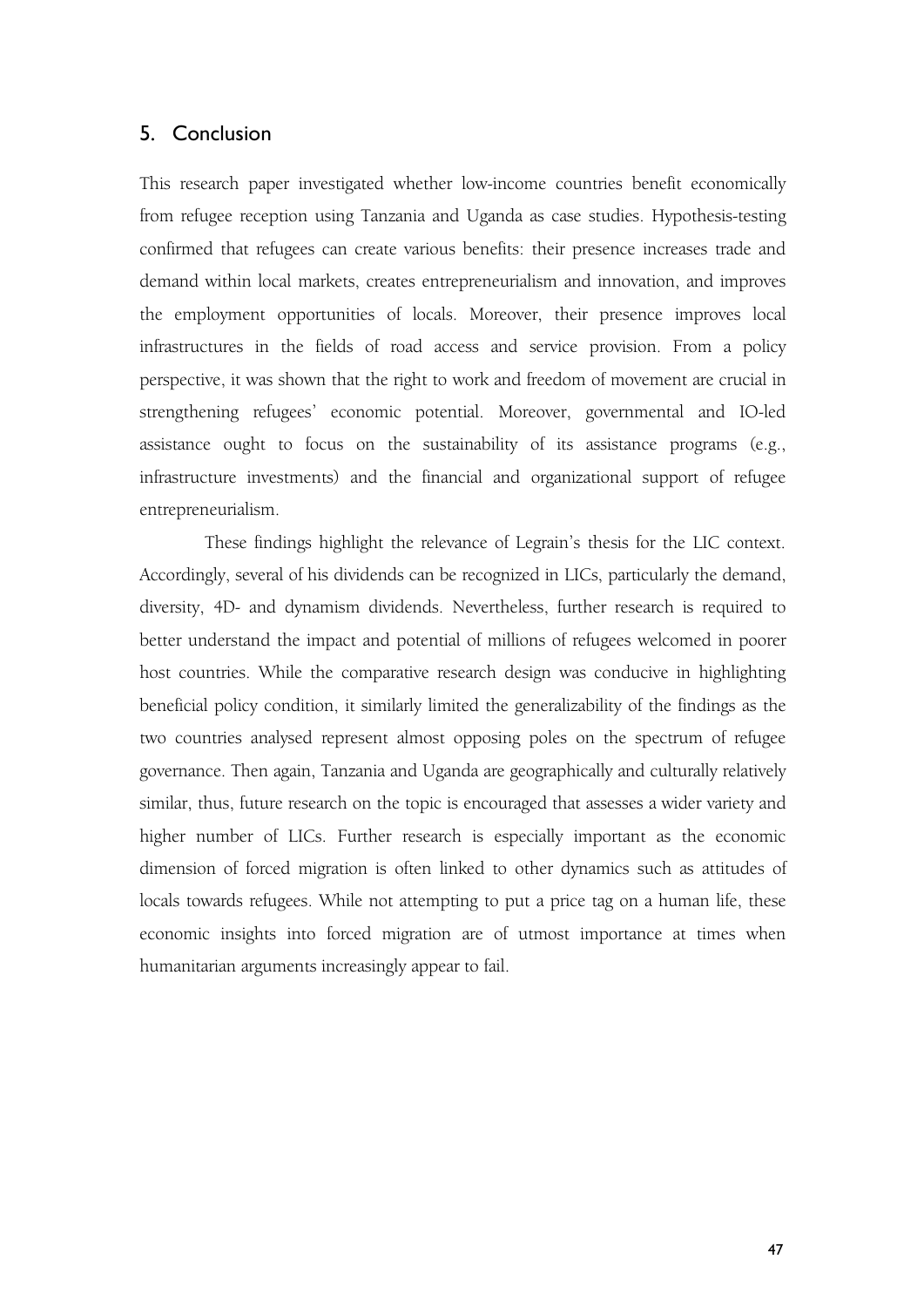### 5. Conclusion

This research paper investigated whether low-income countries benefit economically from refugee reception using Tanzania and Uganda as case studies. Hypothesis-testing confirmed that refugees can create various benefits: their presence increases trade and demand within local markets, creates entrepreneurialism and innovation, and improves the employment opportunities of locals. Moreover, their presence improves local infrastructures in the fields of road access and service provision. From a policy perspective, it was shown that the right to work and freedom of movement are crucial in strengthening refugees' economic potential. Moreover, governmental and IO-led assistance ought to focus on the sustainability of its assistance programs (e.g., infrastructure investments) and the financial and organizational support of refugee entrepreneurialism.

These findings highlight the relevance of Legrain's thesis for the LIC context. Accordingly, several of his dividends can be recognized in LICs, particularly the demand, diversity, 4D- and dynamism dividends. Nevertheless, further research is required to better understand the impact and potential of millions of refugees welcomed in poorer host countries. While the comparative research design was conducive in highlighting beneficial policy condition, it similarly limited the generalizability of the findings as the two countries analysed represent almost opposing poles on the spectrum of refugee governance. Then again, Tanzania and Uganda are geographically and culturally relatively similar, thus, future research on the topic is encouraged that assesses a wider variety and higher number of LICs. Further research is especially important as the economic dimension of forced migration is often linked to other dynamics such as attitudes of locals towards refugees. While not attempting to put a price tag on a human life, these economic insights into forced migration are of utmost importance at times when humanitarian arguments increasingly appear to fail.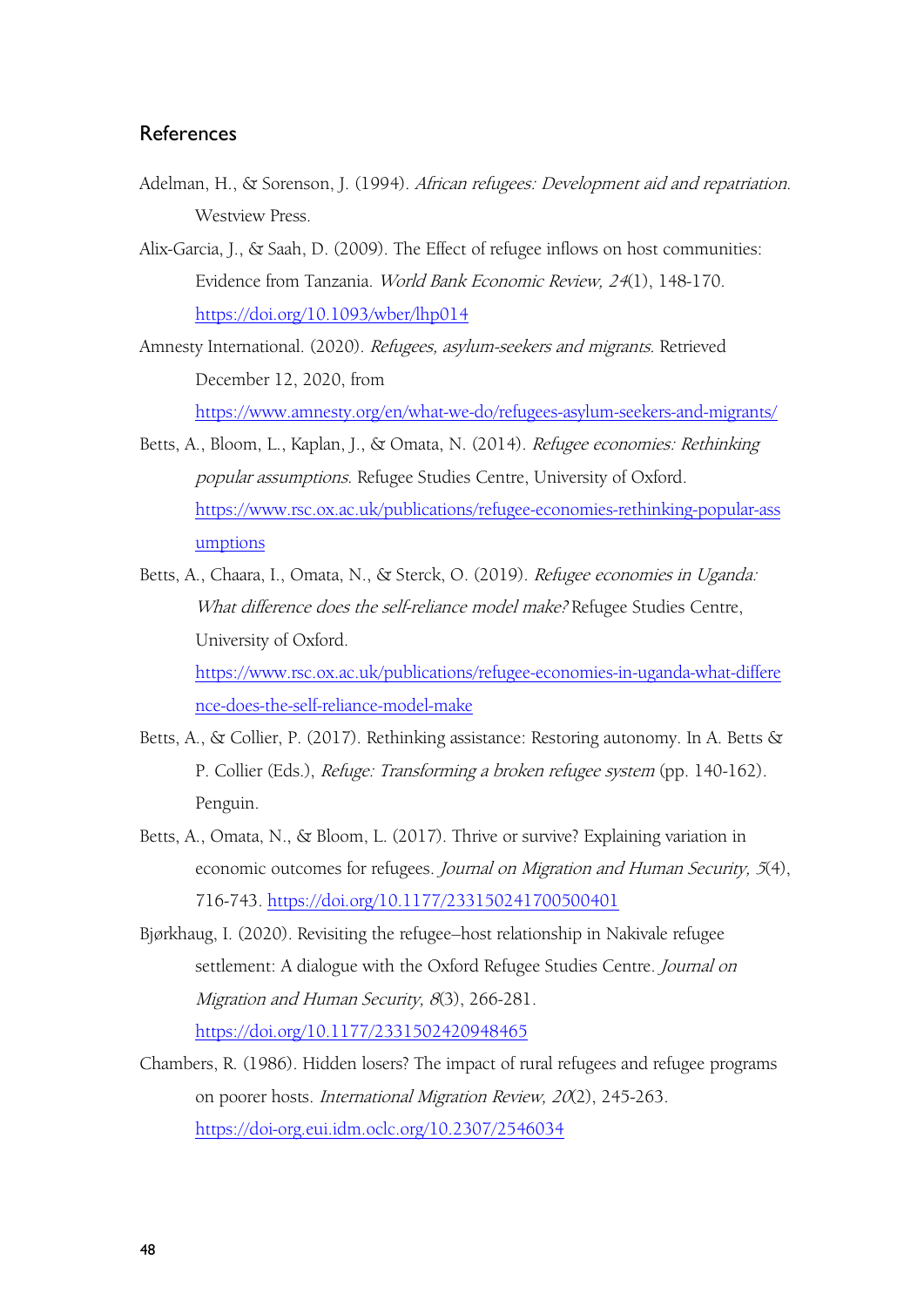### **References**

- Adelman, H., & Sorenson, J. (1994). African refugees: Development aid and repatriation.<br>Westview Press.
- Alix-Garcia, J., & Saah, D. (2009). The Effect of refugee inflows on host communities: Evidence from Tanzania. World Bank Economic Review, <sup>24</sup>(1), 148-170. <https://doi.org/10.1093/wber/lhp014>
- Amnesty International. (2020). Refugees, asylum-seekers and migrants. Retrieved December 12, 2020, from <https://www.amnesty.org/en/what-we-do/refugees-asylum-seekers-and-migrants/>
- Betts, A., Bloom, L., Kaplan, J., & Omata, N. (2014). Refugee economies: Rethinking popular assumptions. Refugee Studies Centre, University of Oxford. [https://www.rsc.ox.ac.uk/publications/refugee-economies-rethinking-popular-ass](https://www.rsc.ox.ac.uk/publications/refugee-economies-rethinking-popular-assumptions) umptions
- Betts, A., Chaara, I., Omata, N., & Sterck, O. (2019). Refugee economies in Uganda: What difference does the self-reliance model make? Refugee Studies Centre, University of Oxford. [https://www.rsc.ox.ac.uk/publications/refugee-economies-in-uganda-what-differe](https://www.rsc.ox.ac.uk/publications/refugee-economies-in-uganda-what-difference-does-the-self-reliance-model-make) nce-does-the-self-reliance-model-make
- Betts, A., & Collier, P. (2017). Rethinking assistance: Restoring autonomy. In A. Betts & P. Collier (Eds.), Refuge: Transforming <sup>a</sup> broken refugee system (pp. 140-162). Penguin.
- Betts, A., Omata, N., & Bloom, L. (2017). Thrive or survive? Explaining variation in economic outcomes for refugees. Journal on Migration and Human Security, <sup>5</sup>(4), 716-743. <https://doi.org/10.1177/233150241700500401>
- Bjørkhaug, I. (2020). Revisiting the refugee–host relationship in Nakivale refugee settlement: A dialogue with the Oxford Refugee Studies Centre. Journal on Migration and Human Security, 8(3), 266-281. <https://doi.org/10.1177/2331502420948465>
- Chambers, R. (1986). Hidden losers? The impact of rural refugees and refugee programs on poorer hosts. International Migration Review, <sup>20</sup>(2), 245-263. <https://doi-org.eui.idm.oclc.org/10.2307/2546034>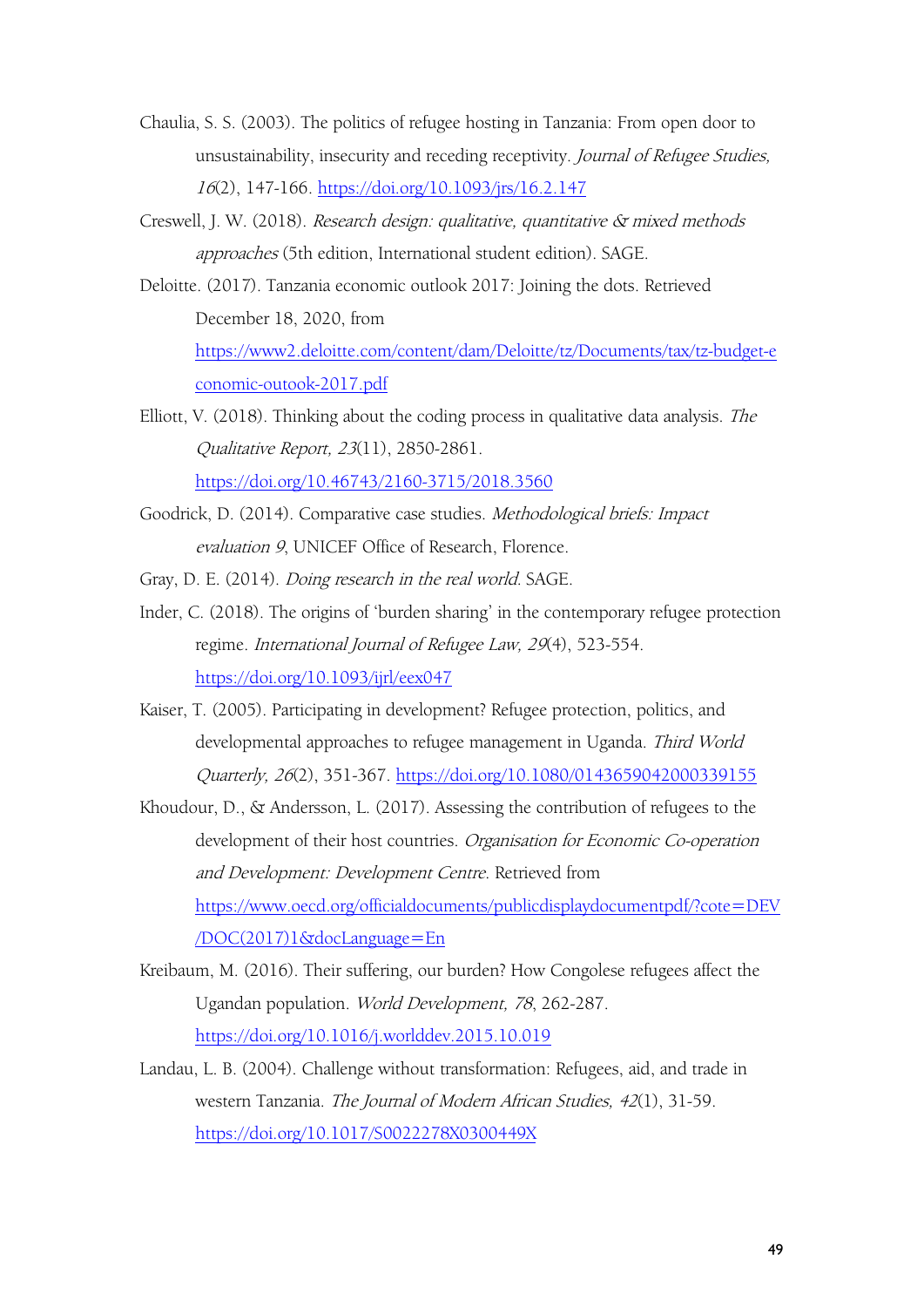- Chaulia, S. S. (2003). The politics of refugee hosting in Tanzania: From open door to unsustainability, insecurity and receding receptivity. Journal of Refugee Studies, <sup>16</sup>(2), 147-166. <https://doi.org/10.1093/jrs/16.2.147>
- Creswell, J. W. (2018). Research design: qualitative, quantitative & mixed methods approaches (5th edition, International student edition). SAGE.
- Deloitte. (2017). Tanzania economic outlook 2017: Joining the dots. Retrieved December 18, 2020, from [https://www2.deloitte.com/content/dam/Deloitte/tz/Documents/tax/tz-budget-e](https://www2.deloitte.com/content/dam/Deloitte/tz/Documents/tax/tz-budget-economic-outook-2017.pdf) conomic-outook-2017.pdf
- Elliott, V. (2018). Thinking about the coding process in qualitative data analysis. The Qualitative Report,23(11), 2850-2861. <https://doi.org/10.46743/2160-3715/2018.3560>
- Goodrick, D. (2014). Comparative case studies. Methodological briefs: Impact evaluation <sup>9</sup>, UNICEF Office of Research, Florence.
- Gray, D. E. (2014). Doing research in the real world. SAGE.
- Inder, C. (2018). The origins of 'burden sharing' in the contemporary refugee protection regime. International Journal of Refugee Law, <sup>29</sup>(4), 523-554. <https://doi.org/10.1093/ijrl/eex047>
- Kaiser, T. (2005). Participating in development? Refugee protection, politics, and developmental approaches to refugee management in Uganda. Third World Quarterly, <sup>26</sup>(2), 351-367. <https://doi.org/10.1080/0143659042000339155>
- Khoudour, D., & Andersson, L. (2017). Assessing the contribution of refugees to the development of their host countries. Organisation for Economic Co-operation and Development: Development Centre. Retrieved from [https://www.oecd.org/officialdocuments/publicdisplaydocumentpdf/?cote=DEV](https://www.oecd.org/officialdocuments/publicdisplaydocumentpdf/?cote=DEV/DOC(2017)1&docLanguage=En) /DOC(2017)1&docLanguage=En
- Kreibaum, M. (2016). Their suffering, our burden? How Congolese refugees affect the Ugandan population. World Development, <sup>78</sup>, 262-287. <https://doi.org/10.1016/j.worlddev.2015.10.019>
- Landau, L. B. (2004). Challenge without transformation: Refugees, aid, and trade in western Tanzania. The Journal of Modern African Studies, <sup>42</sup>(1), 31-59. <https://doi.org/10.1017/S0022278X0300449X>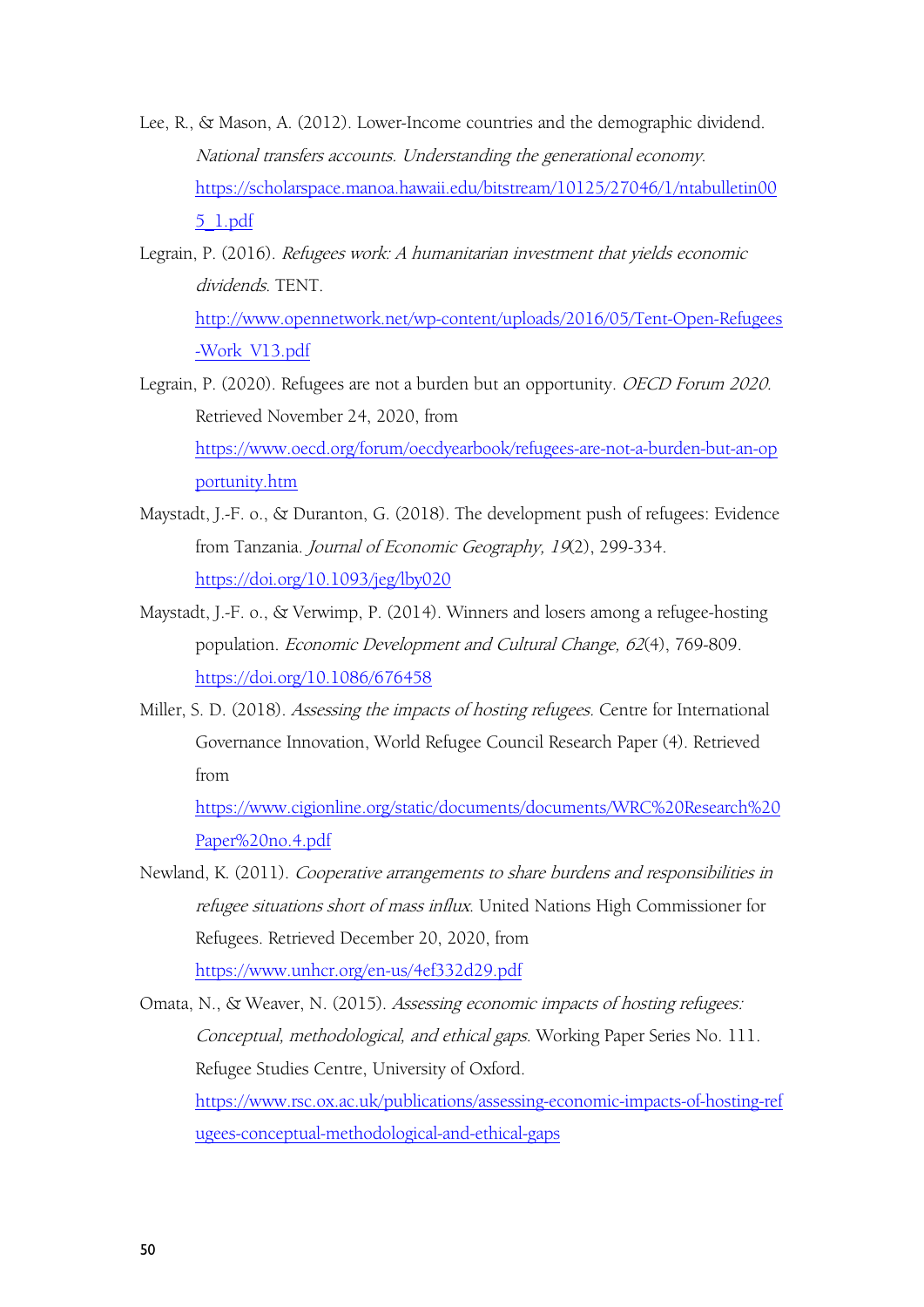- Lee, R., & Mason, A. (2012). Lower-Income countries and the demographic dividend. National transfers accounts. Understanding the generational economy. [https://scholarspace.manoa.hawaii.edu/bitstream/10125/27046/1/ntabulletin00](https://scholarspace.manoa.hawaii.edu/bitstream/10125/27046/1/ntabulletin005_1.pdf) 5\_1.pdf
- Legrain, P. (2016). Refugees work: <sup>A</sup> humanitarian investment that yields economic dividends. TENT. [http://www.opennetwork.net/wp-content/uploads/2016/05/Tent-Open-Refugees](http://www.opennetwork.net/wp-content/uploads/2016/05/Tent-Open-Refugees-Work_V13.pdf) -Work\_V13.pdf
- Legrain, P. (2020). Refugees are not a burden but an opportunity. OECD Forum 2020. Retrieved November 24, 2020, from [https://www.oecd.org/forum/oecdyearbook/refugees-are-not-a-burden-but-an-op](https://www.oecd.org/forum/oecdyearbook/refugees-are-not-a-burden-but-an-opportunity.htm) portunity.htm
- Maystadt, J.-F. o., & Duranton, G. (2018). The development push of refugees: Evidence from Tanzania. Journal of Economic Geography, <sup>19</sup>(2), 299-334. <https://doi.org/10.1093/jeg/lby020>
- Maystadt, J.-F. o., & Verwimp, P. (2014). Winners and losers among a refugee-hosting population. Economic Development and Cultural Change, <sup>62</sup>(4), 769-809. <https://doi.org/10.1086/676458>
- Miller, S. D. (2018). Assessing the impacts of hosting refugees. Centre for International Governance Innovation, World Refugee Council Research Paper (4). Retrieved from

[https://www.cigionline.org/static/documents/documents/WRC%20Research%20](https://www.cigionline.org/static/documents/documents/WRC%20Research%20Paper%20no.4.pdf) Paper%20no.4.pdf

- Newland, K. (2011). Cooperative arrangements to share burdens and responsibilities in refugee situations short of mass influx. United Nations High Commissioner for Refugees. Retrieved December 20, 2020, from <https://www.unhcr.org/en-us/4ef332d29.pdf>
- Omata, N., & Weaver, N. (2015). Assessing economic impacts of hosting refugees: Conceptual, methodological, and ethical gaps. Working Paper Series No. 111. Refugee Studies Centre, University of Oxford. [https://www.rsc.ox.ac.uk/publications/assessing-economic-impacts-of-hosting-ref](https://www.rsc.ox.ac.uk/publications/assessing-economic-impacts-of-hosting-refugees-conceptual-methodological-and-ethical-gaps) ugees-conceptual-methodological-and-ethical-gaps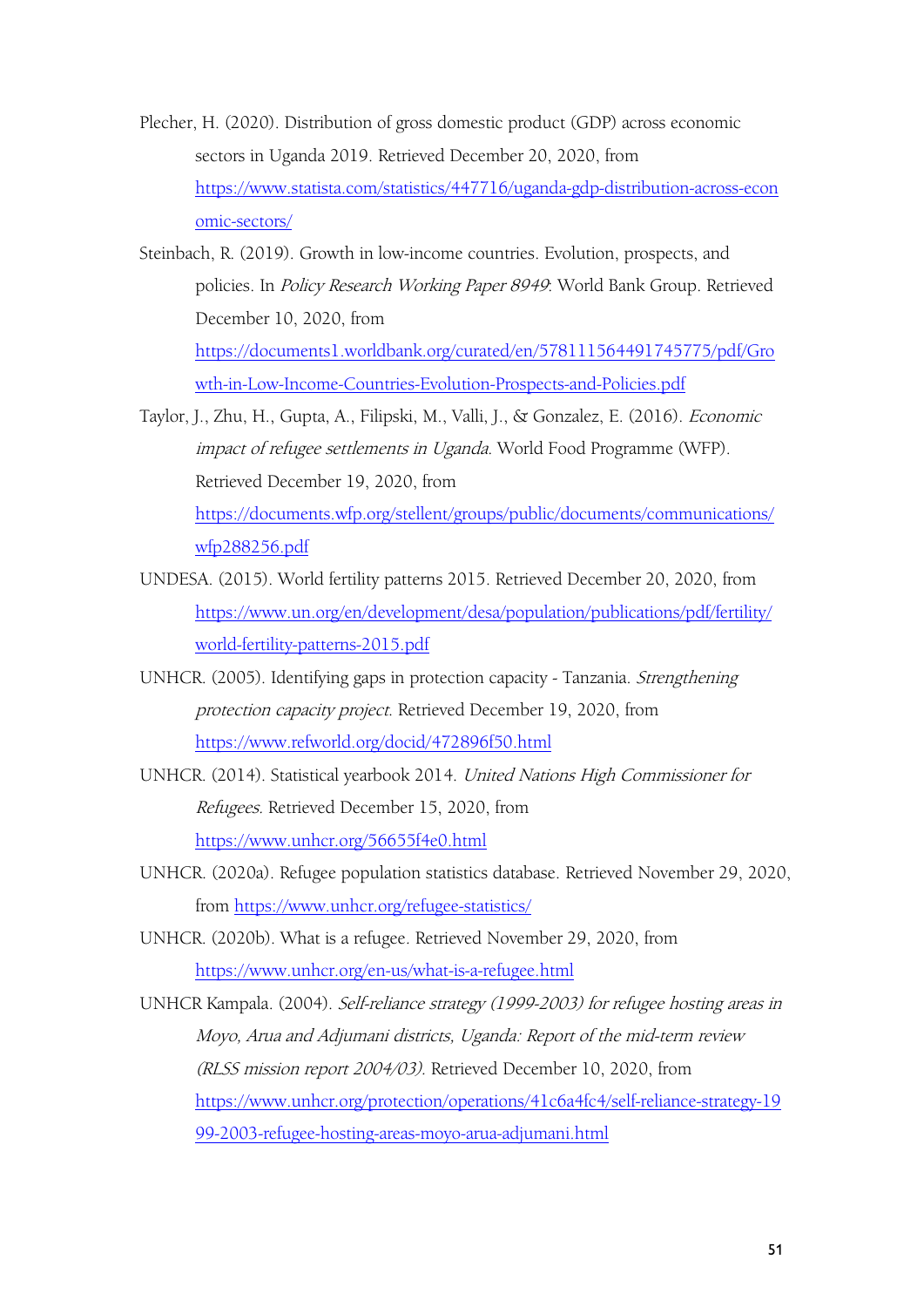- Plecher, H. (2020). Distribution of gross domestic product (GDP) across economic sectors in Uganda 2019. Retrieved December 20, 2020, from [https://www.statista.com/statistics/447716/uganda-gdp-distribution-across-econ](https://www.statista.com/statistics/447716/uganda-gdp-distribution-across-economic-sectors/) omic-sectors/
- Steinbach, R. (2019). Growth in low-income countries. Evolution, prospects, and policies. In Policy Research Working Paper 8949: World Bank Group. Retrieved December 10, 2020, from [https://documents1.worldbank.org/curated/en/578111564491745775/pdf/Gro](https://documents1.worldbank.org/curated/en/578111564491745775/pdf/Growth-in-Low-Income-Countries-Evolution-Prospects-and-Policies.pdf) wth-in-Low-Income-Countries-Evolution-Prospects-and-Policies.pdf
- Taylor, J., Zhu, H., Gupta, A., Filipski, M., Valli, J., & Gonzalez, E. (2016). Economic impact of refugee settlements in Uganda. World Food Programme (WFP).<br>Retrieved December 19, 2020, from

[https://documents.wfp.org/stellent/groups/public/documents/communications/](https://documents.wfp.org/stellent/groups/public/documents/communications/wfp288256.pdf) wfp288256.pdf

- UNDESA. (2015). World fertility patterns 2015. Retrieved December 20, 2020, from [https://www.un.org/en/development/desa/population/publications/pdf/fertility/](https://www.un.org/en/development/desa/population/publications/pdf/fertility/world-fertility-patterns-2015.pdf) world-fertility-patterns-2015.pdf
- UNHCR. (2005). Identifying gaps in protection capacity Tanzania. Strengthening protection capacity project. Retrieved December 19, 2020, from <https://www.refworld.org/docid/472896f50.html>
- UNHCR. (2014). Statistical yearbook 2014. United Nations High Commissioner for Refugees. Retrieved December 15, 2020, from <https://www.unhcr.org/56655f4e0.html>
- UNHCR. (2020a). Refugee population statistics database. Retrieved November 29, 2020, from <https://www.unhcr.org/refugee-statistics/>
- UNHCR. (2020b). What is a refugee. Retrieved November 29, 2020, from <https://www.unhcr.org/en-us/what-is-a-refugee.html>

UNHCR Kampala. (2004). Self-reliance strategy (1999-2003) for refugee hosting areas in Moyo, Arua and Adjumani districts, Uganda: Report of the mid-term review (RLSS mission report 2004/03). Retrieved December 10, 2020, from [https://www.unhcr.org/protection/operations/41c6a4fc4/self-reliance-strategy-19](https://www.unhcr.org/protection/operations/41c6a4fc4/self-reliance-strategy-1999-2003-refugee-hosting-areas-moyo-arua-adjumani.html) 99-2003-refugee-hosting-areas-moyo-arua-adjumani.html